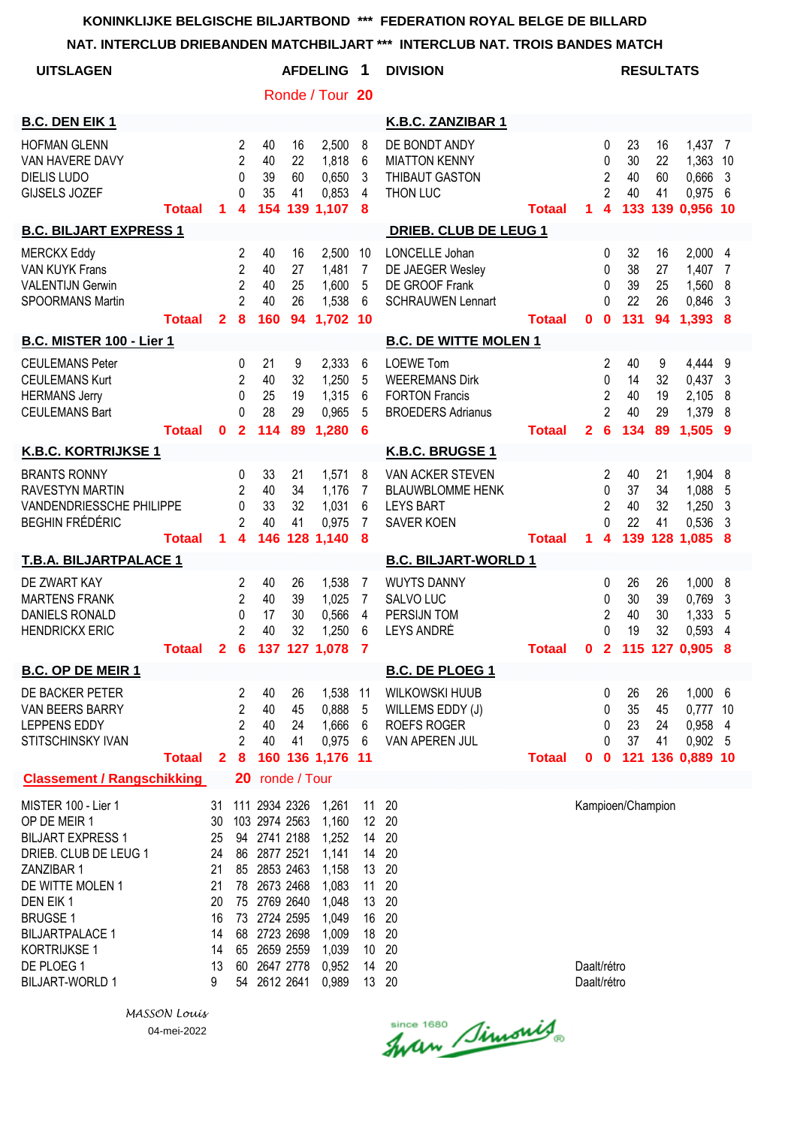**NAT. INTERCLUB DRIEBANDEN MATCHBILJART \*\*\* INTERCLUB NAT. TROIS BANDES MATCH**

| <b>UITSLAGEN</b>                                                                                                                                                                                                                                   |               |                                                                     |                                                         |                                                                                                                                                                                             |                            | <b>AFDELING</b>                                                                                          | -1                                                                   | <b>DIVISION</b>                                                                                |               |                            |                                                          | <b>RESULTATS</b>            |                            |                                                             |                                            |
|----------------------------------------------------------------------------------------------------------------------------------------------------------------------------------------------------------------------------------------------------|---------------|---------------------------------------------------------------------|---------------------------------------------------------|---------------------------------------------------------------------------------------------------------------------------------------------------------------------------------------------|----------------------------|----------------------------------------------------------------------------------------------------------|----------------------------------------------------------------------|------------------------------------------------------------------------------------------------|---------------|----------------------------|----------------------------------------------------------|-----------------------------|----------------------------|-------------------------------------------------------------|--------------------------------------------|
|                                                                                                                                                                                                                                                    |               |                                                                     |                                                         |                                                                                                                                                                                             |                            | Ronde / Tour 20                                                                                          |                                                                      |                                                                                                |               |                            |                                                          |                             |                            |                                                             |                                            |
| <b>B.C. DEN EIK 1</b>                                                                                                                                                                                                                              |               |                                                                     |                                                         |                                                                                                                                                                                             |                            |                                                                                                          |                                                                      | K.B.C. ZANZIBAR 1                                                                              |               |                            |                                                          |                             |                            |                                                             |                                            |
| <b>HOFMAN GLENN</b><br>VAN HAVERE DAVY<br><b>DIELIS LUDO</b><br><b>GIJSELS JOZEF</b>                                                                                                                                                               | <b>Totaal</b> | 1                                                                   | $\overline{2}$<br>$\overline{2}$<br>0<br>$\Omega$<br>4  | 40<br>40<br>39<br>35<br>154                                                                                                                                                                 | 16<br>22<br>60<br>41       | 2,500<br>1,818<br>0,650<br>0,853<br>139 1,107                                                            | 8<br>6<br>3<br>4<br>8                                                | DE BONDT ANDY<br><b>MIATTON KENNY</b><br>THIBAUT GASTON<br><b>THON LUC</b>                     | <b>Totaal</b> | 1.                         | 0<br>0<br>$\overline{c}$<br>$\overline{2}$<br>4          | 23<br>30<br>40<br>40        | 16<br>22<br>60<br>41       | 1,437 7<br>1,363 10<br>0,666<br>0,975 6<br>133 139 0,956 10 | $\overline{3}$                             |
| <b>B.C. BILJART EXPRESS 1</b>                                                                                                                                                                                                                      |               |                                                                     |                                                         |                                                                                                                                                                                             |                            |                                                                                                          |                                                                      | <b>DRIEB. CLUB DE LEUG 1</b>                                                                   |               |                            |                                                          |                             |                            |                                                             |                                            |
| <b>MERCKX Eddy</b><br><b>VAN KUYK Frans</b><br><b>VALENTIJN Gerwin</b><br><b>SPOORMANS Martin</b>                                                                                                                                                  | <b>Totaal</b> | $\mathbf{2}$                                                        | 2<br>2<br>$\overline{2}$<br>$\overline{2}$<br>8         | 40<br>40<br>40<br>40<br>160                                                                                                                                                                 | 16<br>27<br>25<br>26<br>94 | 2,500<br>1,481<br>1,600<br>1,538<br>1,702 10                                                             | 10<br>7<br>5<br>6                                                    | LONCELLE Johan<br>DE JAEGER Wesley<br>DE GROOF Frank<br><b>SCHRAUWEN Lennart</b>               | <b>Totaal</b> | $\mathbf 0$                | 0<br>0<br>0<br>$\Omega$<br>$\mathbf{0}$                  | 32<br>38<br>39<br>22<br>131 | 16<br>27<br>25<br>26<br>94 | 2,000<br>1,407<br>1,560<br>0,846<br>1,393 8                 | $\overline{4}$<br>$\overline{7}$<br>8<br>3 |
| <b>B.C. MISTER 100 - Lier 1</b>                                                                                                                                                                                                                    |               |                                                                     |                                                         |                                                                                                                                                                                             |                            |                                                                                                          |                                                                      | <b>B.C. DE WITTE MOLEN 1</b>                                                                   |               |                            |                                                          |                             |                            |                                                             |                                            |
| <b>CEULEMANS Peter</b><br><b>CEULEMANS Kurt</b><br><b>HERMANS Jerry</b><br><b>CEULEMANS Bart</b>                                                                                                                                                   | <b>Totaal</b> | $\mathbf 0$                                                         | 0<br>2<br>0<br>$\Omega$<br>$\overline{2}$               | 21<br>40<br>25<br>28<br>114                                                                                                                                                                 | 9<br>32<br>19<br>29<br>89  | 2,333<br>1,250<br>1,315<br>0,965<br>1,280                                                                | 6<br>5<br>6<br>5<br>6                                                | <b>LOEWE Tom</b><br><b>WEEREMANS Dirk</b><br><b>FORTON Francis</b><br><b>BROEDERS Adrianus</b> | <b>Totaal</b> | $\overline{2}$             | 2<br>0<br>$\overline{c}$<br>$\overline{2}$<br>6          | 40<br>14<br>40<br>40<br>134 | 9<br>32<br>19<br>29<br>89  | 4,444 9<br>0,437<br>2,105<br>1,379<br>1,505                 | $\mathbf{3}$<br>8<br>8<br>9                |
| <b>K.B.C. KORTRIJKSE 1</b>                                                                                                                                                                                                                         |               |                                                                     |                                                         |                                                                                                                                                                                             |                            |                                                                                                          |                                                                      | K.B.C. BRUGSE 1                                                                                |               |                            |                                                          |                             |                            |                                                             |                                            |
| <b>BRANTS RONNY</b><br><b>RAVESTYN MARTIN</b><br>VANDENDRIESSCHE PHILIPPE<br><b>BEGHIN FRÉDÉRIC</b>                                                                                                                                                | <b>Totaal</b> | 1.                                                                  | 0<br>2<br>0<br>$\overline{2}$<br>4                      | 33<br>40<br>33<br>40<br>146                                                                                                                                                                 | 21<br>34<br>32<br>41       | 1,571<br>1,176<br>1,031<br>0,975<br>128 1,140                                                            | 8<br>7<br>6<br>7<br>8                                                | VAN ACKER STEVEN<br><b>BLAUWBLOMME HENK</b><br><b>LEYS BART</b><br><b>SAVER KOEN</b>           | <b>Totaal</b> | 1.                         | 2<br>0<br>$\overline{c}$<br>0<br>$\overline{\mathbf{4}}$ | 40<br>37<br>40<br>22<br>139 | 21<br>34<br>32<br>41       | 1,904 8<br>1,088<br>1,250<br>0,536<br>128 1,085 8           | 5<br>3<br>3                                |
| <b>T.B.A. BILJARTPALACE 1</b>                                                                                                                                                                                                                      |               |                                                                     |                                                         |                                                                                                                                                                                             |                            |                                                                                                          |                                                                      | <b>B.C. BILJART-WORLD 1</b>                                                                    |               |                            |                                                          |                             |                            |                                                             |                                            |
| DE ZWART KAY<br><b>MARTENS FRANK</b><br>DANIELS RONALD<br><b>HENDRICKX ERIC</b>                                                                                                                                                                    | <b>Totaal</b> | $\mathbf{2}$                                                        | 2<br>2<br>0<br>2<br>6                                   | 40<br>40<br>17<br>40<br>137                                                                                                                                                                 | 26<br>39<br>30<br>32       | 1,538<br>1,025<br>0,566<br>1,250<br>127 1,078                                                            | 7<br>7<br>4<br>6<br>7                                                | <b>WUYTS DANNY</b><br>SALVO LUC<br>PERSIJN TOM<br>LEYS ANDRÉ                                   | <b>Totaal</b> | $\mathbf 0$                | 0<br>0<br>2<br>0<br>$\mathbf{2}$                         | 26<br>30<br>40<br>19<br>115 | 26<br>39<br>30<br>32       | 1,000<br>0,769<br>1,333<br>0,593<br>127 0,905               | -8<br>3<br>5<br>4<br>- 8                   |
| <b>B.C. OP DE MEIR 1</b>                                                                                                                                                                                                                           |               |                                                                     |                                                         |                                                                                                                                                                                             |                            |                                                                                                          |                                                                      | <b>B.C. DE PLOEG 1</b>                                                                         |               |                            |                                                          |                             |                            |                                                             |                                            |
| DE BACKER PETER<br>VAN BEERS BARRY<br><b>LEPPENS EDDY</b><br>STITSCHINSKY IVAN                                                                                                                                                                     | <b>Totaal</b> | $\mathbf{2}$                                                        | 2<br>2<br>$\overline{2}$<br>$\overline{c}$<br>${\bf 8}$ | 40<br>40<br>40<br>40                                                                                                                                                                        | 26<br>45<br>24<br>41       | 1,538<br>0,888<br>1,666<br>0,975<br>160 136 1,176 11                                                     | 11<br>5<br>6<br>6                                                    | <b>WILKOWSKI HUUB</b><br>WILLEMS EDDY (J)<br><b>ROEFS ROGER</b><br>VAN APEREN JUL              | <b>Totaal</b> | $\mathbf 0$                | 0<br>0<br>0<br>0<br>$\mathbf 0$                          | 26<br>35<br>23<br>37<br>121 | 26<br>45<br>24<br>41       | 1,000<br>0,777 10<br>0,958<br>0,902<br>136 0,889 10         | -6<br>4<br>-5                              |
| <b>Classement / Rangschikking</b>                                                                                                                                                                                                                  |               |                                                                     |                                                         | 20 ronde / Tour                                                                                                                                                                             |                            |                                                                                                          |                                                                      |                                                                                                |               |                            |                                                          |                             |                            |                                                             |                                            |
| MISTER 100 - Lier 1<br>OP DE MEIR 1<br><b>BILJART EXPRESS 1</b><br>DRIEB. CLUB DE LEUG 1<br>ZANZIBAR 1<br>DE WITTE MOLEN 1<br>DEN EIK1<br><b>BRUGSE 1</b><br><b>BILJARTPALACE 1</b><br><b>KORTRIJKSE 1</b><br>DE PLOEG 1<br><b>BILJART-WORLD 1</b> |               | 31<br>30<br>25<br>24<br>21<br>21<br>20<br>16<br>14<br>14<br>13<br>9 | 60                                                      | 111 2934 2326<br>103 2974 2563<br>94 2741 2188<br>86 2877 2521<br>85 2853 2463<br>78 2673 2468<br>75 2769 2640<br>73 2724 2595<br>68 2723 2698<br>65 2659 2559<br>2647 2778<br>54 2612 2641 |                            | 1,261<br>1,160<br>1,252<br>1,141<br>1,158<br>1,083<br>1,048<br>1,049<br>1,009<br>1,039<br>0,952<br>0,989 | 11<br>12<br>14<br>14<br>13<br>11<br>13<br>16<br>18<br>10<br>14<br>13 | 20<br>20<br>20<br>20<br>20<br>20<br>20<br>20<br>20<br>20<br>20<br>20                           |               | Daalt/rétro<br>Daalt/rétro |                                                          | Kampioen/Champion           |                            |                                                             |                                            |

*MASSON Louis* 04-mei-2022

Since 1680 Simonis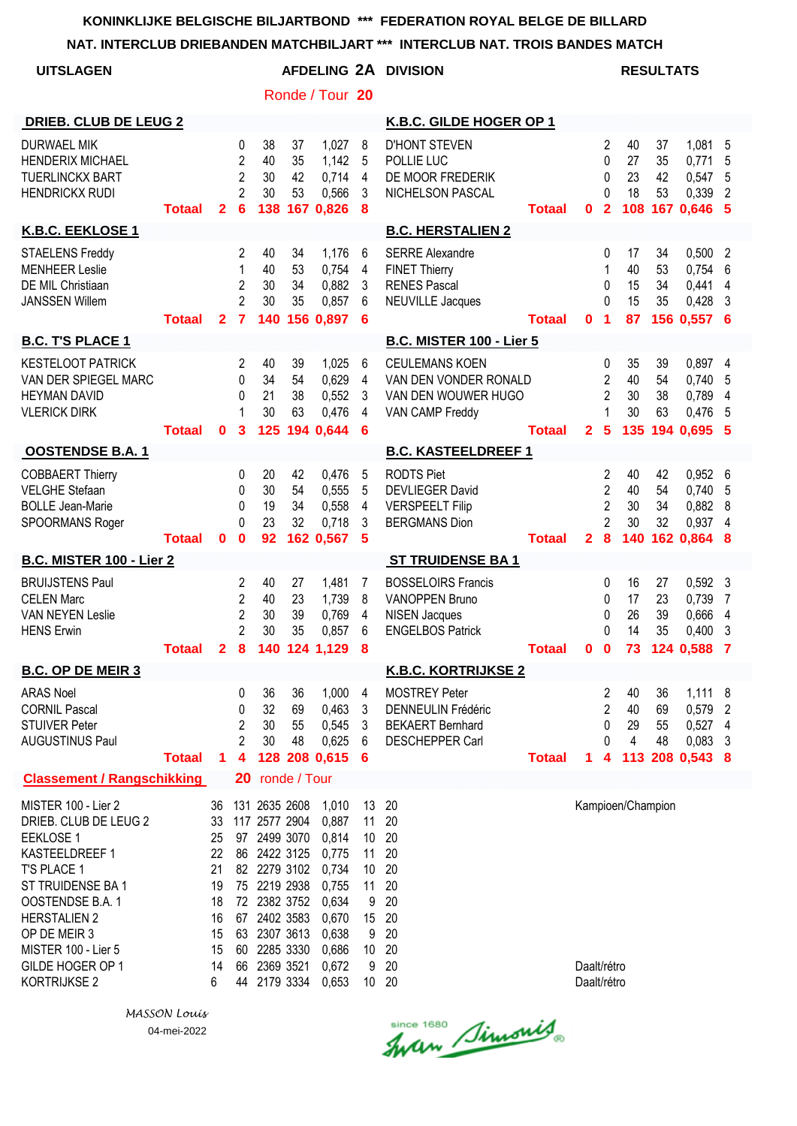|                                                                                                                                                                                                                                              |               |                                                                     |                                                                                               |                                                                                                                                                                                                |                      |                                                                                                          |                                                                                                    | NAT. INTERCLUB DRIEBANDEN MATCHBILJART *** INTERCLUB NAT. TROIS BANDES MATCH                          |               |                            |                                                                             |                             |                      |                                                             |                                        |
|----------------------------------------------------------------------------------------------------------------------------------------------------------------------------------------------------------------------------------------------|---------------|---------------------------------------------------------------------|-----------------------------------------------------------------------------------------------|------------------------------------------------------------------------------------------------------------------------------------------------------------------------------------------------|----------------------|----------------------------------------------------------------------------------------------------------|----------------------------------------------------------------------------------------------------|-------------------------------------------------------------------------------------------------------|---------------|----------------------------|-----------------------------------------------------------------------------|-----------------------------|----------------------|-------------------------------------------------------------|----------------------------------------|
| <b>UITSLAGEN</b>                                                                                                                                                                                                                             |               |                                                                     |                                                                                               |                                                                                                                                                                                                |                      |                                                                                                          |                                                                                                    | AFDELING 2A DIVISION                                                                                  |               |                            |                                                                             | <b>RESULTATS</b>            |                      |                                                             |                                        |
|                                                                                                                                                                                                                                              |               |                                                                     |                                                                                               |                                                                                                                                                                                                |                      | Ronde / Tour 20                                                                                          |                                                                                                    |                                                                                                       |               |                            |                                                                             |                             |                      |                                                             |                                        |
| <b>DRIEB. CLUB DE LEUG 2</b>                                                                                                                                                                                                                 |               |                                                                     |                                                                                               |                                                                                                                                                                                                |                      |                                                                                                          |                                                                                                    | K.B.C. GILDE HOGER OP 1                                                                               |               |                            |                                                                             |                             |                      |                                                             |                                        |
| <b>DURWAEL MIK</b><br><b>HENDERIX MICHAEL</b><br><b>TUERLINCKX BART</b><br><b>HENDRICKX RUDI</b>                                                                                                                                             | <b>Totaal</b> | $\mathbf{2}$                                                        | 0<br>2<br>$\overline{2}$<br>$\overline{2}$<br>6                                               | 38<br>40<br>30<br>30                                                                                                                                                                           | 37<br>35<br>42<br>53 | 1,027<br>1,142<br>0,714<br>0,566<br>138 167 0,826                                                        | 8<br>5<br>$\overline{4}$<br>3<br>8                                                                 | <b>D'HONT STEVEN</b><br>POLLIE LUC<br>DE MOOR FREDERIK<br>NICHELSON PASCAL                            | <b>Totaal</b> | $\mathbf{0}$               | 2<br>$\mathbf{0}$<br>0<br>$\Omega$<br>$\overline{2}$                        | 40<br>27<br>23<br>18        | 37<br>35<br>42<br>53 | 1,081<br>0,771<br>0,547<br>0,339<br>108 167 0,646 5         | 5<br>5<br>5<br>2                       |
| K.B.C. EEKLOSE 1                                                                                                                                                                                                                             |               |                                                                     |                                                                                               |                                                                                                                                                                                                |                      |                                                                                                          |                                                                                                    | <b>B.C. HERSTALIEN 2</b>                                                                              |               |                            |                                                                             |                             |                      |                                                             |                                        |
| <b>STAELENS Freddy</b><br><b>MENHEER Leslie</b><br>DE MIL Christiaan<br><b>JANSSEN Willem</b>                                                                                                                                                | <b>Totaal</b> |                                                                     | $\overline{2}$<br>$\mathbf{1}$<br>$\overline{\mathbf{c}}$<br>$\overline{2}$<br>2 <sub>7</sub> | 40<br>40<br>30<br>30                                                                                                                                                                           | 34<br>53<br>34<br>35 | 1,176<br>0,754<br>0,882<br>0,857<br>140 156 0,897                                                        | 6<br>4<br>3<br>6<br>6                                                                              | <b>SERRE Alexandre</b><br><b>FINET Thierry</b><br><b>RENES Pascal</b><br><b>NEUVILLE Jacques</b>      | <b>Totaal</b> | $\mathbf 0$                | 0<br>1<br>0<br>$\Omega$<br>$\blacktriangleleft$                             | 17<br>40<br>15<br>15<br>87  | 34<br>53<br>34<br>35 | 0,500<br>0,754<br>0,441<br>0,428<br>156 0,557 6             | 2<br>6<br>4<br>3                       |
| <b>B.C. T'S PLACE 1</b>                                                                                                                                                                                                                      |               |                                                                     |                                                                                               |                                                                                                                                                                                                |                      |                                                                                                          |                                                                                                    | <b>B.C. MISTER 100 - Lier 5</b>                                                                       |               |                            |                                                                             |                             |                      |                                                             |                                        |
| <b>KESTELOOT PATRICK</b><br>VAN DER SPIEGEL MARC<br><b>HEYMAN DAVID</b><br><b>VLERICK DIRK</b>                                                                                                                                               | <b>Totaal</b> | $\mathbf{0}$                                                        | $\overline{2}$<br>0<br>0<br>1<br>$\mathbf{3}$                                                 | 40<br>34<br>21<br>30                                                                                                                                                                           | 39<br>54<br>38<br>63 | 1,025<br>0,629<br>0,552<br>0,476<br>125 194 0,644                                                        | 6<br>4<br>3<br>4<br>6                                                                              | <b>CEULEMANS KOEN</b><br>VAN DEN VONDER RONALD<br>VAN DEN WOUWER HUGO<br>VAN CAMP Freddy              | <b>Totaal</b> | $\mathbf{2}$               | 0<br>2<br>$\overline{2}$<br>1<br>5                                          | 35<br>40<br>30<br>30        | 39<br>54<br>38<br>63 | 0,897 4<br>0,740<br>0,789<br>0,476<br>135 194 0,695 5       | 5<br>4<br>5                            |
| <b>OOSTENDSE B.A. 1</b>                                                                                                                                                                                                                      |               |                                                                     |                                                                                               |                                                                                                                                                                                                |                      |                                                                                                          |                                                                                                    | <b>B.C. KASTEELDREEF 1</b>                                                                            |               |                            |                                                                             |                             |                      |                                                             |                                        |
| <b>COBBAERT Thierry</b><br><b>VELGHE Stefaan</b><br><b>BOLLE Jean-Marie</b><br>SPOORMANS Roger                                                                                                                                               | <b>Totaal</b> | $\mathbf{0}$                                                        | 0<br>0<br>0<br>0<br>$\mathbf 0$                                                               | 20<br>30<br>19<br>23<br>92                                                                                                                                                                     | 42<br>54<br>34<br>32 | 0,476<br>0,555<br>0,558<br>0,718<br>162 0,567                                                            | 5<br>5<br>4<br>3<br>$5\phantom{1}$                                                                 | <b>RODTS Piet</b><br><b>DEVLIEGER David</b><br><b>VERSPEELT Filip</b><br><b>BERGMANS Dion</b>         | <b>Totaal</b> | $\overline{2}$             | 2<br>$\overline{2}$<br>$\overline{c}$<br>$\overline{2}$<br>$\boldsymbol{8}$ | 40<br>40<br>30<br>30<br>140 | 42<br>54<br>34<br>32 | $0,952$ 6<br>0,740<br>0,882 8<br>0,937 4<br>162 0,864 8     | 5                                      |
| <b>B.C. MISTER 100 - Lier 2</b>                                                                                                                                                                                                              |               |                                                                     |                                                                                               |                                                                                                                                                                                                |                      |                                                                                                          |                                                                                                    | <b>ST TRUIDENSE BA1</b>                                                                               |               |                            |                                                                             |                             |                      |                                                             |                                        |
| <b>BRUIJSTENS Paul</b><br><b>CELEN Marc</b><br><b>VAN NEYEN Leslie</b><br><b>HENS Erwin</b>                                                                                                                                                  | <b>Totaal</b> |                                                                     | 2<br>$\overline{2}$<br>$\overline{2}$<br>$\overline{2}$                                       | 40<br>40<br>30<br>30                                                                                                                                                                           | 27<br>23<br>39<br>35 | 1,481<br>1,739<br>0,769<br>0,857<br>2 8 140 124 1,129 8                                                  | 7<br>8<br>$\overline{4}$<br>6                                                                      | <b>BOSSELOIRS Francis</b><br><b>VANOPPEN Bruno</b><br><b>NISEN Jacques</b><br><b>ENGELBOS Patrick</b> | <b>Totaal</b> | 0 <sub>0</sub>             | 0<br>0<br>$\mathbf{0}$<br>0                                                 | 16<br>17<br>26<br>14        | 27<br>23<br>39<br>35 | 0,592<br>0,739<br>0,666<br>0,400<br>73 124 0,588 7          | $\overline{\mathbf{3}}$<br>7<br>4<br>3 |
| <b>B.C. OP DE MEIR 3</b>                                                                                                                                                                                                                     |               |                                                                     |                                                                                               |                                                                                                                                                                                                |                      |                                                                                                          |                                                                                                    | <b>K.B.C. KORTRIJKSE 2</b>                                                                            |               |                            |                                                                             |                             |                      |                                                             |                                        |
| <b>ARAS Noel</b><br><b>CORNIL Pascal</b><br><b>STUIVER Peter</b><br><b>AUGUSTINUS Paul</b>                                                                                                                                                   | <b>Totaal</b> | 1                                                                   | 0<br>0<br>2<br>$\overline{2}$<br>4                                                            | 36<br>32<br>30<br>30                                                                                                                                                                           | 36<br>69<br>55<br>48 | 1,000<br>0,463<br>0,545<br>0,625<br>128 208 0,615                                                        | 4<br>$\mathbf{3}$<br>3<br>6<br>- 6                                                                 | <b>MOSTREY Peter</b><br><b>DENNEULIN Frédéric</b><br><b>BEKAERT Bernhard</b><br>DESCHEPPER Carl       | <b>Totaal</b> | 1.                         | 2<br>2<br>0<br>0<br>4                                                       | 40<br>40<br>29<br>4         | 36<br>69<br>55<br>48 | $1,111$ 8<br>0,579 2<br>0,527 4<br>0,083<br>113 208 0,543 8 | - 3                                    |
| <b>Classement / Rangschikking</b>                                                                                                                                                                                                            |               |                                                                     | 20                                                                                            |                                                                                                                                                                                                | ronde / Tour         |                                                                                                          |                                                                                                    |                                                                                                       |               |                            |                                                                             |                             |                      |                                                             |                                        |
| MISTER 100 - Lier 2<br>DRIEB. CLUB DE LEUG 2<br><b>EEKLOSE 1</b><br>KASTEELDREEF 1<br>T'S PLACE 1<br>ST TRUIDENSE BA 1<br>OOSTENDSE B.A. 1<br><b>HERSTALIEN 2</b><br>OP DE MEIR 3<br>MISTER 100 - Lier 5<br>GILDE HOGER OP 1<br>KORTRIJKSE 2 |               | 36<br>33<br>25<br>22<br>21<br>19<br>18<br>16<br>15<br>15<br>14<br>6 |                                                                                               | 131 2635 2608<br>117 2577 2904<br>97 2499 3070<br>86 2422 3125<br>82 2279 3102<br>75 2219 2938<br>72 2382 3752<br>67 2402 3583<br>63 2307 3613<br>60 2285 3330<br>66 2369 3521<br>44 2179 3334 |                      | 1,010<br>0,887<br>0,814<br>0,775<br>0,734<br>0,755<br>0,634<br>0,670<br>0,638<br>0,686<br>0,672<br>0,653 | 13<br>11<br>10 <sup>°</sup><br>11<br>10 <sup>1</sup><br>11<br>9<br>15<br>9<br>10 <sup>°</sup><br>9 | 20<br>20<br>20<br>20<br>20<br>20<br>20<br>20<br>20<br>20<br>20<br>10 20                               |               | Daalt/rétro<br>Daalt/rétro |                                                                             | Kampioen/Champion           |                      |                                                             |                                        |

*MASSON Louis* 04-mei-2022

Since 1680 Simonis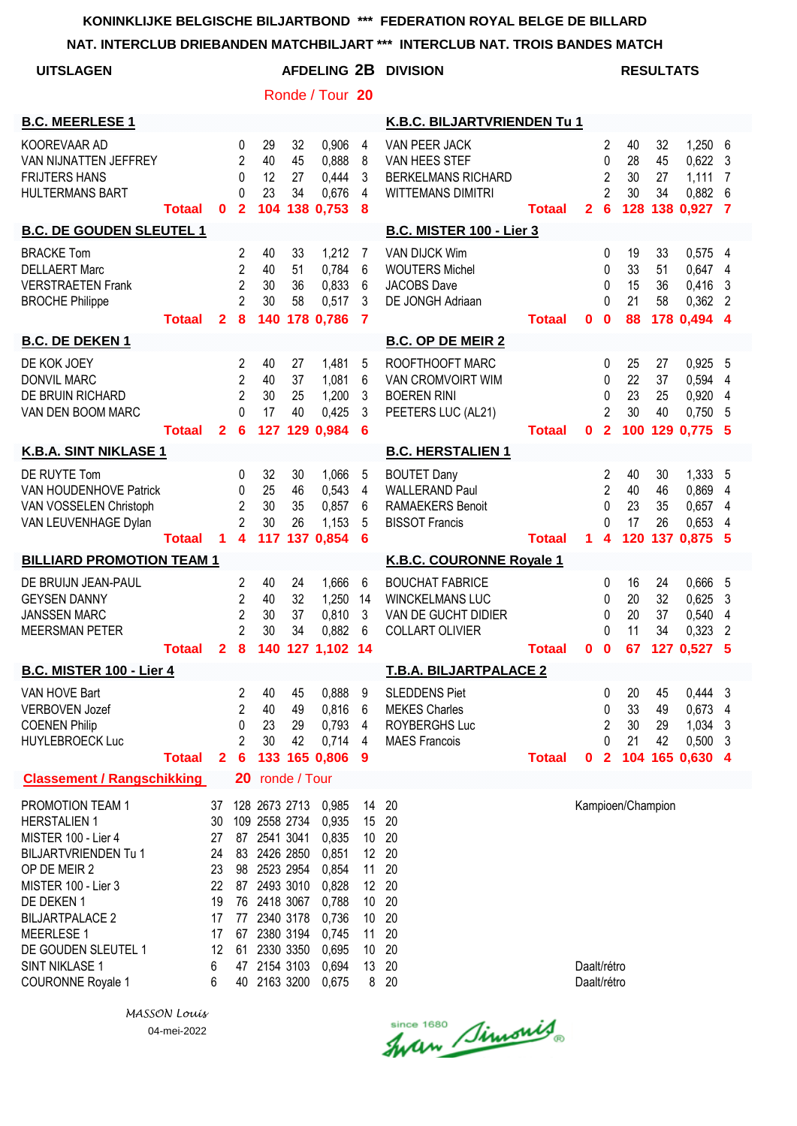|                                                                                                                                                                                                                                                                        |               |                                                                    |                                                                       |                                                                                                                                                                  |                      |                                                                                                          |                                                                             | NAT. INTERCLUB DRIEBANDEN MATCHBILJART *** INTERCLUB NAT. TROIS BANDES MATCH                      |               |                            |                                                               |                            |                      |                                                               |                                       |
|------------------------------------------------------------------------------------------------------------------------------------------------------------------------------------------------------------------------------------------------------------------------|---------------|--------------------------------------------------------------------|-----------------------------------------------------------------------|------------------------------------------------------------------------------------------------------------------------------------------------------------------|----------------------|----------------------------------------------------------------------------------------------------------|-----------------------------------------------------------------------------|---------------------------------------------------------------------------------------------------|---------------|----------------------------|---------------------------------------------------------------|----------------------------|----------------------|---------------------------------------------------------------|---------------------------------------|
| <b>UITSLAGEN</b>                                                                                                                                                                                                                                                       |               |                                                                    |                                                                       |                                                                                                                                                                  |                      |                                                                                                          |                                                                             | AFDELING 2B DIVISION                                                                              |               |                            |                                                               | <b>RESULTATS</b>           |                      |                                                               |                                       |
|                                                                                                                                                                                                                                                                        |               |                                                                    |                                                                       |                                                                                                                                                                  |                      | Ronde / Tour 20                                                                                          |                                                                             |                                                                                                   |               |                            |                                                               |                            |                      |                                                               |                                       |
| <b>B.C. MEERLESE 1</b>                                                                                                                                                                                                                                                 |               |                                                                    |                                                                       |                                                                                                                                                                  |                      |                                                                                                          |                                                                             | K.B.C. BILJARTVRIENDEN Tu 1                                                                       |               |                            |                                                               |                            |                      |                                                               |                                       |
| KOOREVAAR AD<br>VAN NIJNATTEN JEFFREY<br><b>FRIJTERS HANS</b><br><b>HULTERMANS BART</b>                                                                                                                                                                                | <b>Totaal</b> | $\mathbf{0}$                                                       | $\mathbf 0$<br>2<br>$\Omega$<br>$\Omega$<br>$\overline{2}$            | 29<br>40<br>12<br>23                                                                                                                                             | 32<br>45<br>27<br>34 | 0,906<br>0,888<br>0,444<br>0,676<br>104 138 0,753 8                                                      | $\overline{4}$<br>8<br>3<br>4                                               | VAN PEER JACK<br>VAN HEES STEF<br><b>BERKELMANS RICHARD</b><br><b>WITTEMANS DIMITRI</b>           | <b>Totaal</b> | 2 <sub>1</sub>             | 2<br>0<br>$\overline{2}$<br>$\overline{2}$<br>$6\phantom{1}6$ | 40<br>28<br>30<br>30       | 32<br>45<br>27<br>34 | 1,250 6<br>$0,622$ 3<br>1,111<br>0,882<br>128 138 0,927 7     | 7<br>6                                |
| <b>B.C. DE GOUDEN SLEUTEL 1</b>                                                                                                                                                                                                                                        |               |                                                                    |                                                                       |                                                                                                                                                                  |                      |                                                                                                          |                                                                             | <b>B.C. MISTER 100 - Lier 3</b>                                                                   |               |                            |                                                               |                            |                      |                                                               |                                       |
| <b>BRACKE Tom</b><br><b>DELLAERT Marc</b><br><b>VERSTRAETEN Frank</b><br><b>BROCHE Philippe</b>                                                                                                                                                                        | <b>Totaal</b> | 2 <sup>1</sup>                                                     | $\overline{2}$<br>$\overline{2}$<br>$\sqrt{2}$<br>$\overline{2}$<br>8 | 40<br>40<br>30<br>30                                                                                                                                             | 33<br>51<br>36<br>58 | 1,212<br>0,784<br>0,833<br>0,517<br>140 178 0.786                                                        | $\overline{7}$<br>$6\phantom{1}6$<br>$6\phantom{1}6$<br>3<br>$\overline{7}$ | VAN DIJCK Wim<br><b>WOUTERS Michel</b><br><b>JACOBS</b> Dave<br>DE JONGH Adriaan                  | <b>Totaal</b> | 0                          | 0<br>0<br>0<br>$\Omega$<br>$\mathbf 0$                        | 19<br>33<br>15<br>21<br>88 | 33<br>51<br>36<br>58 | 0,575 4<br>0,647 4<br>$0,416$ 3<br>$0,362$ 2<br>178 0,494 4   |                                       |
| <b>B.C. DE DEKEN 1</b>                                                                                                                                                                                                                                                 |               |                                                                    |                                                                       |                                                                                                                                                                  |                      |                                                                                                          |                                                                             | <b>B.C. OP DE MEIR 2</b>                                                                          |               |                            |                                                               |                            |                      |                                                               |                                       |
| DE KOK JOEY<br><b>DONVIL MARC</b><br>DE BRUIN RICHARD<br>VAN DEN BOOM MARC                                                                                                                                                                                             | <b>Totaal</b> |                                                                    | 2<br>$\overline{2}$<br>$\overline{2}$<br>$\Omega$<br>$2 \quad 6$      | 40<br>40<br>30<br>17                                                                                                                                             | 27<br>37<br>25<br>40 | 1,481<br>1,081<br>1,200<br>0,425<br>127 129 0,984                                                        | 5<br>6<br>3<br>3<br>6                                                       | ROOFTHOOFT MARC<br>VAN CROMVOIRT WIM<br><b>BOEREN RINI</b><br>PEETERS LUC (AL21)                  | <b>Totaal</b> | $\mathbf{0}$               | 0<br>0<br>0<br>$\overline{2}$<br>$\overline{2}$               | 25<br>22<br>23<br>30       | 27<br>37<br>25<br>40 | $0,925$ 5<br>0,594 4<br>0,920 4<br>0,7505<br>100 129 0.775 5  |                                       |
| K.B.A. SINT NIKLASE 1                                                                                                                                                                                                                                                  |               |                                                                    |                                                                       |                                                                                                                                                                  |                      |                                                                                                          |                                                                             | <b>B.C. HERSTALIEN 1</b>                                                                          |               |                            |                                                               |                            |                      |                                                               |                                       |
| DE RUYTE Tom<br>VAN HOUDENHOVE Patrick<br>VAN VOSSELEN Christoph<br>VAN LEUVENHAGE Dylan                                                                                                                                                                               | <b>Totaal</b> | $\mathbf 1$                                                        | 0<br>$\mathbf{0}$<br>2<br>$\overline{2}$<br>$\overline{\mathbf{4}}$   | 32<br>25<br>30<br>30                                                                                                                                             | 30<br>46<br>35<br>26 | 1,066<br>0,543<br>0,857<br>1,153<br>117 137 0,854                                                        | 5<br>$\overline{4}$<br>6<br>5<br>6                                          | <b>BOUTET Dany</b><br><b>WALLERAND Paul</b><br><b>RAMAEKERS Benoit</b><br><b>BISSOT Francis</b>   | <b>Totaal</b> | $\mathbf{1}$               | 2<br>$\overline{2}$<br>0<br>0<br>$\overline{\mathbf{4}}$      | 40<br>40<br>23<br>17       | 30<br>46<br>35<br>26 | 1,333 5<br>0,869 4<br>0,657 4<br>$0,653$ 4<br>120 137 0,875 5 |                                       |
| <b>BILLIARD PROMOTION TEAM 1</b>                                                                                                                                                                                                                                       |               |                                                                    |                                                                       |                                                                                                                                                                  |                      |                                                                                                          |                                                                             | K.B.C. COURONNE Royale 1                                                                          |               |                            |                                                               |                            |                      |                                                               |                                       |
| DE BRUIJN JEAN-PAUL<br><b>GEYSEN DANNY</b><br><b>JANSSEN MARC</b><br><b>MEERSMAN PETER</b>                                                                                                                                                                             | <b>Totaal</b> |                                                                    | $\overline{2}$<br>2<br>2<br>$\overline{2}$                            | 40<br>40<br>30<br>30                                                                                                                                             | 24<br>32<br>37<br>34 | 1,666<br>1,250<br>0,810<br>0,882<br>2 8 140 127 1,102 14                                                 | 6<br>14<br>$\mathbf{3}$<br>6                                                | <b>BOUCHAT FABRICE</b><br><b>WINCKELMANS LUC</b><br>VAN DE GUCHT DIDIER<br><b>COLLART OLIVIER</b> | <b>Totaal</b> | $\mathbf{0}$               | 0<br>0<br>0<br>0<br>$\mathbf 0$                               | 16<br>20<br>20<br>11       | 24<br>32<br>37<br>34 | 0,666 5<br>0,625<br>0,540<br>0,323<br>67 127 0,527 5          | 3<br>$\overline{4}$<br>$\overline{2}$ |
| <b>B.C. MISTER 100 - Lier 4</b>                                                                                                                                                                                                                                        |               |                                                                    |                                                                       |                                                                                                                                                                  |                      |                                                                                                          |                                                                             | <b>T.B.A. BILJARTPALACE 2</b>                                                                     |               |                            |                                                               |                            |                      |                                                               |                                       |
| VAN HOVE Bart<br><b>VERBOVEN Jozef</b><br><b>COENEN Philip</b><br><b>HUYLEBROECK Luc</b>                                                                                                                                                                               | <b>Totaal</b> | $\mathbf{2}$                                                       | 2<br>2<br>0<br>2<br>$6\phantom{1}6$                                   | 40<br>40<br>23<br>30<br>133                                                                                                                                      | 45<br>49<br>29<br>42 | 0,888<br>0,816<br>0,793<br>0,714<br>165 0,806                                                            | 9<br>6<br>4<br>$\overline{4}$<br>9                                          | <b>SLEDDENS Piet</b><br><b>MEKES Charles</b><br>ROYBERGHS Luc<br><b>MAES Francois</b>             | <b>Totaal</b> | 0                          | 0<br>0<br>2<br>0<br>$\overline{2}$                            | 20<br>33<br>30<br>21       | 45<br>49<br>29<br>42 | $0,444$ 3<br>0,673 4<br>1,034<br>0,500<br>104 165 0,630 4     | 3<br>3                                |
| <b>Classement / Rangschikking</b>                                                                                                                                                                                                                                      |               |                                                                    | 20                                                                    |                                                                                                                                                                  | ronde / Tour         |                                                                                                          |                                                                             |                                                                                                   |               |                            |                                                               |                            |                      |                                                               |                                       |
| PROMOTION TEAM 1<br><b>HERSTALIEN 1</b><br>MISTER 100 - Lier 4<br><b>BILJARTVRIENDEN Tu 1</b><br>OP DE MEIR 2<br>MISTER 100 - Lier 3<br>DE DEKEN 1<br><b>BILJARTPALACE 2</b><br><b>MEERLESE 1</b><br>DE GOUDEN SLEUTEL 1<br>SINT NIKLASE 1<br><b>COURONNE Royale 1</b> |               | 37<br>30<br>27<br>24<br>23<br>22<br>19<br>17<br>17<br>12<br>6<br>6 | 87<br>83<br>98<br>87<br>76<br>77<br>67<br>61<br>47<br>40              | 128 2673 2713<br>109 2558 2734<br>2541 3041<br>2426 2850<br>2523 2954<br>2493 3010<br>2418 3067<br>2340 3178<br>2380 3194<br>2330 3350<br>2154 3103<br>2163 3200 |                      | 0,985<br>0,935<br>0,835<br>0,851<br>0,854<br>0,828<br>0,788<br>0,736<br>0,745<br>0,695<br>0,694<br>0,675 | 14<br>15<br>10<br>12<br>11<br>12<br>10<br>10<br>11<br>10<br>13<br>8         | 20<br>20<br>20<br>20<br>20<br>20<br>20<br>20<br>20<br>20<br>20<br>20                              |               | Daalt/rétro<br>Daalt/rétro |                                                               | Kampioen/Champion          |                      |                                                               |                                       |

Since 1680 Simonis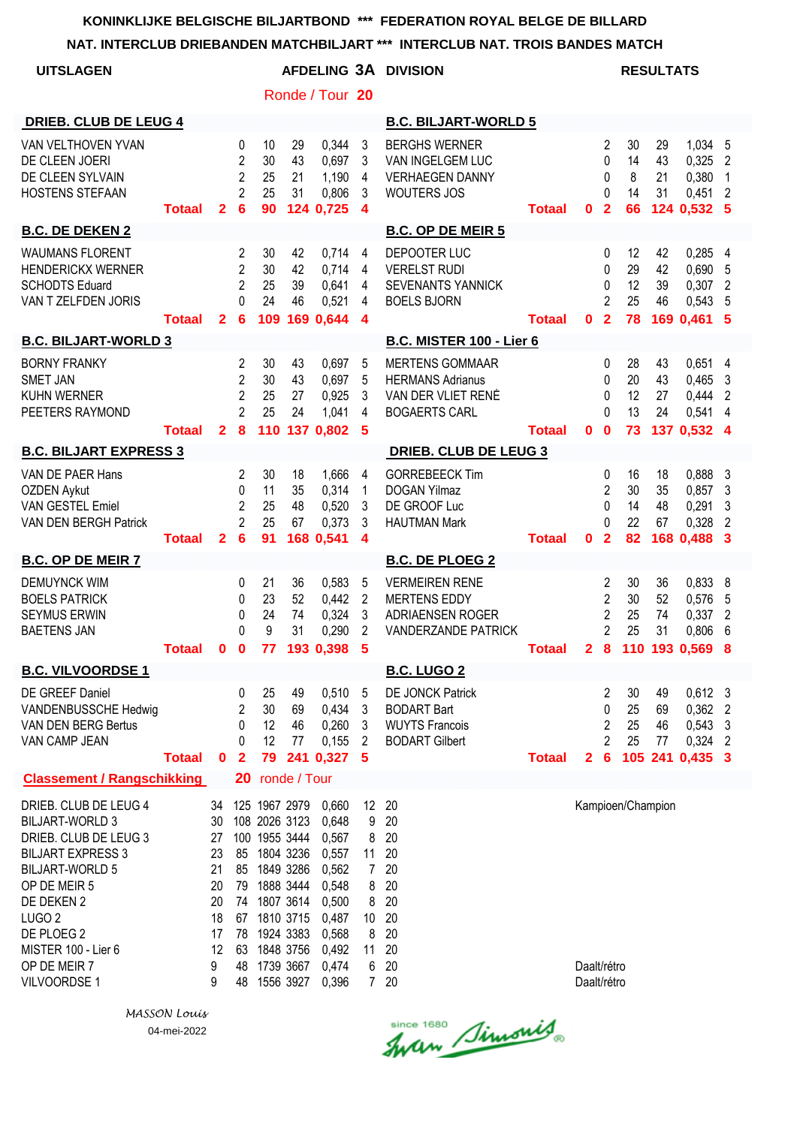|                                                                                                                                                                                                                                                        |               |                                                                    |                                                                                  |                                                                                                                                                                                  |                      |                                                                                                          |                                                                           | NAT. INTERCLUB DRIEBANDEN MATCHBILJART *** INTERCLUB NAT. TROIS BANDES MATCH                    |               |                            |                                                               |                            |                      |                                                               |                     |
|--------------------------------------------------------------------------------------------------------------------------------------------------------------------------------------------------------------------------------------------------------|---------------|--------------------------------------------------------------------|----------------------------------------------------------------------------------|----------------------------------------------------------------------------------------------------------------------------------------------------------------------------------|----------------------|----------------------------------------------------------------------------------------------------------|---------------------------------------------------------------------------|-------------------------------------------------------------------------------------------------|---------------|----------------------------|---------------------------------------------------------------|----------------------------|----------------------|---------------------------------------------------------------|---------------------|
| <b>UITSLAGEN</b>                                                                                                                                                                                                                                       |               |                                                                    |                                                                                  |                                                                                                                                                                                  |                      |                                                                                                          |                                                                           | AFDELING 3A DIVISION                                                                            |               |                            |                                                               |                            | <b>RESULTATS</b>     |                                                               |                     |
|                                                                                                                                                                                                                                                        |               |                                                                    |                                                                                  |                                                                                                                                                                                  |                      | Ronde / Tour 20                                                                                          |                                                                           |                                                                                                 |               |                            |                                                               |                            |                      |                                                               |                     |
| <b>DRIEB. CLUB DE LEUG 4</b>                                                                                                                                                                                                                           |               |                                                                    |                                                                                  |                                                                                                                                                                                  |                      |                                                                                                          |                                                                           | <b>B.C. BILJART-WORLD 5</b>                                                                     |               |                            |                                                               |                            |                      |                                                               |                     |
| VAN VELTHOVEN YVAN<br>DE CLEEN JOERI<br>DE CLEEN SYLVAIN<br><b>HOSTENS STEFAAN</b>                                                                                                                                                                     | <b>Totaal</b> | $\mathbf{2}$                                                       | $\mathbf 0$<br>2<br>$\overline{2}$<br>$\overline{2}$<br>6                        | 10<br>30<br>25<br>25<br>90                                                                                                                                                       | 29<br>43<br>21<br>31 | 0,344<br>0,697<br>1,190<br>0,806<br>124 0,725                                                            | 3<br>3<br>$\overline{4}$<br>$\mathbf{3}$<br>$\overline{4}$                | <b>BERGHS WERNER</b><br>VAN INGELGEM LUC<br><b>VERHAEGEN DANNY</b><br><b>WOUTERS JOS</b>        | <b>Totaal</b> | $\mathbf 0$                | 2<br>0<br>0<br>0<br>$\overline{\mathbf{2}}$                   | 30<br>14<br>8<br>14<br>66  | 29<br>43<br>21<br>31 | 1,034 5<br>$0,325$ 2<br>0,380<br>0,451<br>124 0,532 5         | 1<br>$\overline{2}$ |
| <b>B.C. DE DEKEN 2</b>                                                                                                                                                                                                                                 |               |                                                                    |                                                                                  |                                                                                                                                                                                  |                      |                                                                                                          |                                                                           | <b>B.C. OP DE MEIR 5</b>                                                                        |               |                            |                                                               |                            |                      |                                                               |                     |
| <b>WAUMANS FLORENT</b><br><b>HENDERICKX WERNER</b><br><b>SCHODTS Eduard</b><br>VAN T ZELFDEN JORIS                                                                                                                                                     | <b>Totaal</b> |                                                                    | $\overline{2}$<br>$\overline{2}$<br>$\overline{2}$<br>$\Omega$<br>2 <sub>6</sub> | 30 <sup>°</sup><br>30<br>25<br>24                                                                                                                                                | 42<br>42<br>39<br>46 | 0,714<br>0,714<br>0,641<br>0,521<br>109 169 0,644                                                        | 4<br>$\overline{4}$<br>4<br>4<br>$\overline{\mathbf{4}}$                  | DEPOOTER LUC<br><b>VERELST RUDI</b><br><b>SEVENANTS YANNICK</b><br><b>BOELS BJORN</b>           | <b>Totaal</b> | $\mathbf 0$                | 0<br>0<br>0<br>$\overline{2}$<br>$\overline{2}$               | 12<br>29<br>12<br>25<br>78 | 42<br>42<br>39<br>46 | $0,285$ 4<br>0,690 5<br>0,307<br>0,543,5<br>169 0,461 5       | $\overline{2}$      |
| <b>B.C. BILJART-WORLD 3</b>                                                                                                                                                                                                                            |               |                                                                    |                                                                                  |                                                                                                                                                                                  |                      |                                                                                                          |                                                                           | <b>B.C. MISTER 100 - Lier 6</b>                                                                 |               |                            |                                                               |                            |                      |                                                               |                     |
| <b>BORNY FRANKY</b><br><b>SMET JAN</b><br><b>KUHN WERNER</b><br>PEETERS RAYMOND                                                                                                                                                                        | <b>Totaal</b> |                                                                    | $\overline{2}$<br>$\overline{2}$<br>$\overline{2}$<br>$\overline{2}$<br>28       | 30<br>30<br>25<br>25                                                                                                                                                             | 43<br>43<br>27<br>24 | 0,697<br>0,697<br>0,925<br>1,041<br>110 137 0,802 5                                                      | 5<br>5<br>3<br>4                                                          | <b>MERTENS GOMMAAR</b><br><b>HERMANS Adrianus</b><br>VAN DER VLIET RENÉ<br><b>BOGAERTS CARL</b> | <b>Totaal</b> | $\mathbf{0}$               | 0<br>0<br>$\mathbf{0}$<br>0<br>$\mathbf 0$                    | 28<br>20<br>12<br>13<br>73 | 43<br>43<br>27<br>24 | 0,651 4<br>$0,465$ 3<br>0,444 2<br>0,541 4<br>137 0,532 4     |                     |
| <b>B.C. BILJART EXPRESS 3</b>                                                                                                                                                                                                                          |               |                                                                    |                                                                                  |                                                                                                                                                                                  |                      |                                                                                                          |                                                                           | <b>DRIEB. CLUB DE LEUG 3</b>                                                                    |               |                            |                                                               |                            |                      |                                                               |                     |
| VAN DE PAER Hans<br><b>OZDEN Aykut</b><br><b>VAN GESTEL Emiel</b><br>VAN DEN BERGH Patrick                                                                                                                                                             | <b>Totaal</b> | 2 <sup>1</sup>                                                     | 2<br>$\mathbf{0}$<br>$\overline{2}$<br>$\overline{2}$<br>$6\phantom{1}6$         | 30<br>11<br>25<br>25<br>91                                                                                                                                                       | 18<br>35<br>48<br>67 | 1,666<br>0,314<br>0,520<br>0,373<br>168 0,541                                                            | 4<br>$\mathbf{1}$<br>3<br>3<br>4                                          | <b>GORREBEECK Tim</b><br><b>DOGAN Yilmaz</b><br>DE GROOF Luc<br><b>HAUTMAN Mark</b>             | <b>Totaal</b> | $\mathbf 0$                | 0<br>$\overline{2}$<br>0<br>0<br>$\overline{2}$               | 16<br>30<br>14<br>22<br>82 | 18<br>35<br>48<br>67 | 0,888 3<br>$0,857$ 3<br>0,291<br>0,328<br>168 0,488 3         | 3<br>2              |
| <b>B.C. OP DE MEIR 7</b>                                                                                                                                                                                                                               |               |                                                                    |                                                                                  |                                                                                                                                                                                  |                      |                                                                                                          |                                                                           | <b>B.C. DE PLOEG 2</b>                                                                          |               |                            |                                                               |                            |                      |                                                               |                     |
| <b>DEMUYNCK WIM</b><br><b>BOELS PATRICK</b><br><b>SEYMUS ERWIN</b><br><b>BAETENS JAN</b>                                                                                                                                                               | <b>Totaal</b> | $\mathbf{0}$                                                       | 0<br>0<br>0<br>0<br>$\mathbf 0$                                                  | 21<br>23<br>24<br>9<br>77                                                                                                                                                        | 36<br>52<br>74<br>31 | 0,583<br>0,442<br>0,324<br>0,290<br>193 0,398 5                                                          | -5<br>$\overline{2}$<br>3<br>2                                            | <b>VERMEIREN RENE</b><br><b>MERTENS EDDY</b><br>ADRIAENSEN ROGER<br><b>VANDERZANDE PATRICK</b>  | <b>Totaal</b> | $\mathbf{2}^-$             | 2<br>$\overline{2}$<br>$\overline{2}$<br>$\overline{2}$<br>8  | 30<br>30<br>25<br>25       | 36<br>52<br>74<br>31 | 0,8338<br>0,576 5<br>0,337<br>0,806<br>110 193 0,569 8        | $\overline{2}$<br>6 |
| <b>B.C. VILVOORDSE 1</b>                                                                                                                                                                                                                               |               |                                                                    |                                                                                  |                                                                                                                                                                                  |                      |                                                                                                          |                                                                           | <b>B.C. LUGO 2</b>                                                                              |               |                            |                                                               |                            |                      |                                                               |                     |
| DE GREEF Daniel<br>VANDENBUSSCHE Hedwig<br>VAN DEN BERG Bertus<br>VAN CAMP JEAN                                                                                                                                                                        | <b>Totaal</b> | $\mathbf{0}$                                                       | 0<br>$\overline{c}$<br>0<br>0<br>$\mathbf{2}$                                    | 25<br>30<br>12<br>12<br>79                                                                                                                                                       | 49<br>69<br>46<br>77 | 0,510<br>0,434<br>0,260<br>0,155<br>241 0,327                                                            | 5<br>3<br>3<br>2<br>$\overline{\mathbf{5}}$                               | DE JONCK Patrick<br><b>BODART Bart</b><br><b>WUYTS Francois</b><br><b>BODART Gilbert</b>        | <b>Totaal</b> | $\mathbf{2}$               | 2<br>0<br>$\overline{c}$<br>$\overline{2}$<br>$6\phantom{1}6$ | 30<br>25<br>25<br>25       | 49<br>69<br>46<br>77 | 0,612 3<br>$0,362$ 2<br>$0,543$ 3<br>0,324<br>105 241 0,435 3 | 2                   |
| <b>Classement / Rangschikking</b>                                                                                                                                                                                                                      |               |                                                                    |                                                                                  | 20 ronde / Tour                                                                                                                                                                  |                      |                                                                                                          |                                                                           |                                                                                                 |               |                            |                                                               |                            |                      |                                                               |                     |
| DRIEB. CLUB DE LEUG 4<br><b>BILJART-WORLD 3</b><br>DRIEB. CLUB DE LEUG 3<br><b>BILJART EXPRESS 3</b><br><b>BILJART-WORLD 5</b><br>OP DE MEIR 5<br>DE DEKEN 2<br>LUGO <sub>2</sub><br>DE PLOEG 2<br>MISTER 100 - Lier 6<br>OP DE MEIR 7<br>VILVOORDSE 1 |               | 34<br>30<br>27<br>23<br>21<br>20<br>20<br>18<br>17<br>12<br>9<br>9 | 67<br>78<br>63<br>48<br>48                                                       | 125 1967 2979<br>108 2026 3123<br>100 1955 3444<br>85 1804 3236<br>85 1849 3286<br>79 1888 3444<br>74 1807 3614<br>1810 3715<br>1924 3383<br>1848 3756<br>1739 3667<br>1556 3927 |                      | 0,660<br>0,648<br>0,567<br>0,557<br>0,562<br>0,548<br>0,500<br>0,487<br>0,568<br>0,492<br>0,474<br>0,396 | 12<br>9<br>8<br>11<br>7<br>8<br>8<br>10<br>8<br>11<br>6<br>7 <sup>1</sup> | 20<br>20<br>20<br>20<br>20<br>20<br>20<br>20<br>20<br>20<br>20<br>20                            |               | Daalt/rétro<br>Daalt/rétro |                                                               | Kampioen/Champion          |                      |                                                               |                     |

Since 1680 Simonis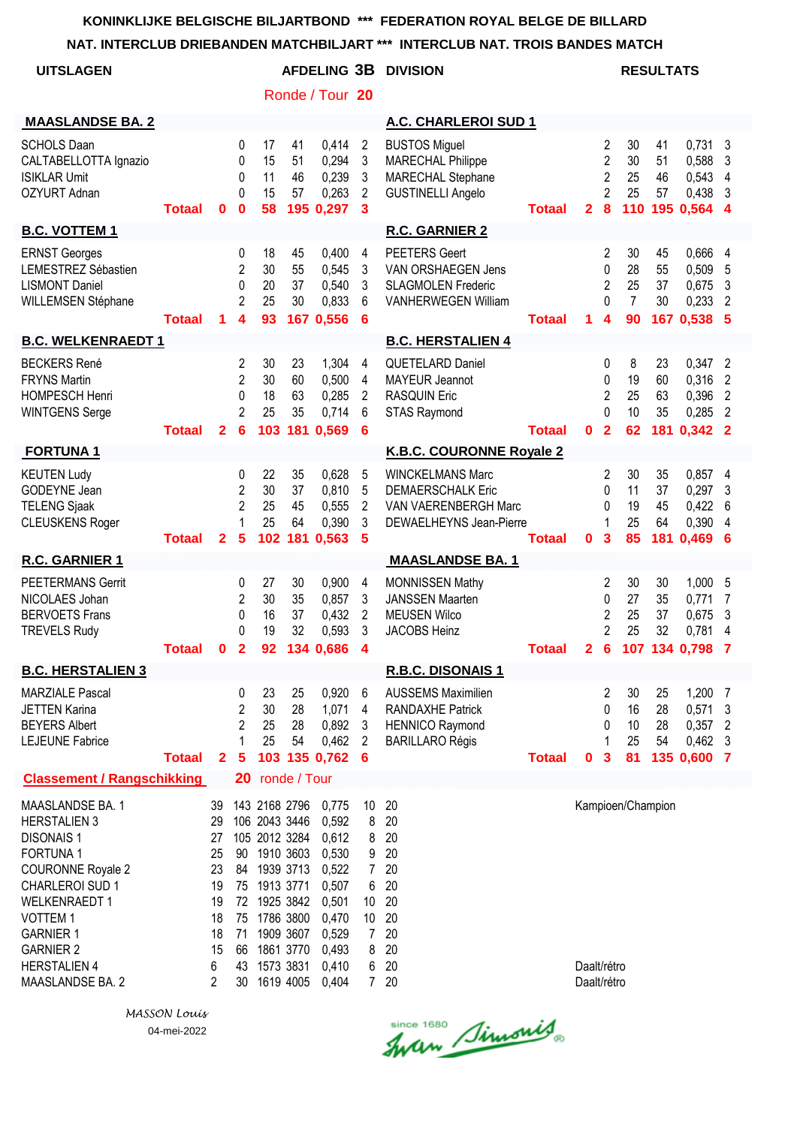**NAT. INTERCLUB DRIEBANDEN MATCHBILJART \*\*\* INTERCLUB NAT. TROIS BANDES MATCH**

| INAT. INTERGEUD DRIEDANDEN MATGROILJART                                                                                                                                                                                                                    |               |                                                                    |                                                                       |                                                                                                                                                                      |                                 |                                                                                                          |                                                                                                     | IN I ENGLUD NATI. TNOIS DANDES MATGH                                                                     |               |                            |                                                              |                                        |                             |                                                         |                                                                                    |
|------------------------------------------------------------------------------------------------------------------------------------------------------------------------------------------------------------------------------------------------------------|---------------|--------------------------------------------------------------------|-----------------------------------------------------------------------|----------------------------------------------------------------------------------------------------------------------------------------------------------------------|---------------------------------|----------------------------------------------------------------------------------------------------------|-----------------------------------------------------------------------------------------------------|----------------------------------------------------------------------------------------------------------|---------------|----------------------------|--------------------------------------------------------------|----------------------------------------|-----------------------------|---------------------------------------------------------|------------------------------------------------------------------------------------|
| <b>UITSLAGEN</b>                                                                                                                                                                                                                                           |               |                                                                    |                                                                       |                                                                                                                                                                      |                                 | <b>AFDELING 3B</b>                                                                                       |                                                                                                     | <b>DIVISION</b>                                                                                          |               |                            |                                                              | <b>RESULTATS</b>                       |                             |                                                         |                                                                                    |
|                                                                                                                                                                                                                                                            |               |                                                                    |                                                                       |                                                                                                                                                                      |                                 | Ronde / Tour 20                                                                                          |                                                                                                     |                                                                                                          |               |                            |                                                              |                                        |                             |                                                         |                                                                                    |
| <b>MAASLANDSE BA. 2</b>                                                                                                                                                                                                                                    |               |                                                                    |                                                                       |                                                                                                                                                                      |                                 |                                                                                                          |                                                                                                     | A.C. CHARLEROI SUD 1                                                                                     |               |                            |                                                              |                                        |                             |                                                         |                                                                                    |
| <b>SCHOLS Daan</b><br>CALTABELLOTTA Ignazio<br><b>ISIKLAR Umit</b><br>OZYURT Adnan                                                                                                                                                                         | <b>Totaal</b> | 0                                                                  | 0<br>0<br>0<br>0<br>$\bf{0}$                                          | 17<br>15<br>11<br>15<br>58                                                                                                                                           | 41<br>51<br>46<br>57            | 0,414<br>0,294<br>0,239<br>0,263<br>195 0,297                                                            | 2<br>3<br>3<br>$\overline{c}$<br>3                                                                  | <b>BUSTOS Miguel</b><br><b>MARECHAL Philippe</b><br>MARECHAL Stephane<br><b>GUSTINELLI Angelo</b>        | <b>Totaal</b> | $\mathbf{2}$               | 2<br>$\overline{2}$<br>$\overline{2}$<br>$\overline{2}$<br>8 | 30<br>30<br>25<br>25<br>110            | 41<br>51<br>46<br>57        | $0,731$ 3<br>0,588<br>0,543<br>0,438<br>195 0.564       | 3<br>4<br>3<br>$\boldsymbol{4}$                                                    |
| <b>B.C. VOTTEM 1</b>                                                                                                                                                                                                                                       |               |                                                                    |                                                                       |                                                                                                                                                                      |                                 |                                                                                                          |                                                                                                     | <b>R.C. GARNIER 2</b>                                                                                    |               |                            |                                                              |                                        |                             |                                                         |                                                                                    |
| <b>ERNST Georges</b><br>LEMESTREZ Sébastien<br><b>LISMONT Daniel</b><br>WILLEMSEN Stéphane                                                                                                                                                                 | <b>Totaal</b> | 1.                                                                 | 0<br>$\overline{c}$<br>0<br>$\overline{2}$<br>4                       | 18<br>30<br>20<br>25<br>93                                                                                                                                           | 45<br>55<br>37<br>30            | 0,400<br>0,545<br>0,540<br>0,833<br>167 0,556                                                            | $\overline{4}$<br>3<br>3<br>6<br>6                                                                  | <b>PEETERS Geert</b><br>VAN ORSHAEGEN Jens<br><b>SLAGMOLEN Frederic</b><br><b>VANHERWEGEN William</b>    | <b>Totaal</b> | 1                          | 2<br>0<br>$\overline{2}$<br>0<br>4                           | 30<br>28<br>25<br>$\overline{7}$<br>90 | 45<br>55<br>37<br>30        | 0,666<br>0,509<br>0,675<br>0,233<br>167 0,538           | -4<br>5<br>3<br>$\overline{2}$<br>-5                                               |
| <b>B.C. WELKENRAEDT 1</b>                                                                                                                                                                                                                                  |               |                                                                    |                                                                       |                                                                                                                                                                      |                                 |                                                                                                          |                                                                                                     | <b>B.C. HERSTALIEN 4</b>                                                                                 |               |                            |                                                              |                                        |                             |                                                         |                                                                                    |
| <b>BECKERS René</b><br><b>FRYNS Martin</b><br><b>HOMPESCH Henri</b><br><b>WINTGENS Serge</b>                                                                                                                                                               | <b>Totaal</b> | $\mathbf{2}$                                                       | 2<br>$\overline{2}$<br>0<br>$\overline{2}$<br>6                       | 30<br>30<br>18<br>25                                                                                                                                                 | 23<br>60<br>63<br>35<br>103 181 | 1,304<br>0,500<br>0,285<br>0,714<br>0,569                                                                | 4<br>4<br>2<br>6<br>6                                                                               | QUETELARD Daniel<br><b>MAYEUR Jeannot</b><br><b>RASQUIN Eric</b><br><b>STAS Raymond</b>                  | <b>Totaal</b> | $\mathbf 0$                | 0<br>0<br>$\overline{2}$<br>0<br>$\overline{2}$              | 8<br>19<br>25<br>10<br>62              | 23<br>60<br>63<br>35<br>181 | 0,347<br>0,316<br>0,396<br>0,285<br>$0,342$ 2           | $\overline{2}$<br>$\overline{2}$<br>$\overline{2}$<br>$\overline{2}$               |
| <b>FORTUNA1</b>                                                                                                                                                                                                                                            |               |                                                                    |                                                                       |                                                                                                                                                                      |                                 |                                                                                                          |                                                                                                     | K.B.C. COURONNE Royale 2                                                                                 |               |                            |                                                              |                                        |                             |                                                         |                                                                                    |
| <b>KEUTEN Ludy</b><br>GODEYNE Jean<br><b>TELENG Sjaak</b><br><b>CLEUSKENS Roger</b>                                                                                                                                                                        | Totaal        | $\mathbf{2}$                                                       | 0<br>2<br>$\overline{2}$<br>1<br>$5\phantom{1}$                       | 22<br>30<br>25<br>25                                                                                                                                                 | 35<br>37<br>45<br>64<br>102 181 | 0,628<br>0,810<br>0,555<br>0,390<br>0,563                                                                | 5<br>5<br>2<br>3<br>5                                                                               | <b>WINCKELMANS Marc</b><br><b>DEMAERSCHALK Eric</b><br>VAN VAERENBERGH Marc<br>DEWAELHEYNS Jean-Pierre   | <b>Totaal</b> | $\mathbf 0$                | 2<br>0<br>0<br>1<br>$\overline{\mathbf{3}}$                  | 30<br>11<br>19<br>25<br>85             | 35<br>37<br>45<br>64<br>181 | 0,857<br>0,297<br>0,422<br>0,390<br>0,469               | -4<br>3<br>6<br>4<br>6                                                             |
| R.C. GARNIER 1                                                                                                                                                                                                                                             |               |                                                                    |                                                                       |                                                                                                                                                                      |                                 |                                                                                                          |                                                                                                     | <b>MAASLANDSE BA. 1</b>                                                                                  |               |                            |                                                              |                                        |                             |                                                         |                                                                                    |
| <b>PEETERMANS Gerrit</b><br>NICOLAES Johan<br><b>BERVOETS Frans</b><br><b>TREVELS Rudy</b>                                                                                                                                                                 | <b>Totaal</b> |                                                                    | 0<br>$\overline{c}$<br>0<br>0                                         | 27<br>30<br>16<br>19                                                                                                                                                 | 30<br>35<br>37<br>32            | 0,900<br>0,857<br>0,432<br>0,593<br>0 2 92 134 0,686 4                                                   | $\overline{4}$<br>3<br>$\overline{c}$<br>3                                                          | <b>MONNISSEN Mathy</b><br><b>JANSSEN Maarten</b><br><b>MEUSEN Wilco</b><br>JACOBS Heinz                  | <b>Totaal</b> |                            | 2<br>0<br>2<br>$\overline{2}$                                | 30<br>27<br>25<br>25                   | 30<br>35<br>37<br>32        | 1,000<br>0,771<br>0,675<br>0,781<br>2 6 107 134 0,798 7 | 5<br>7<br>3<br>4                                                                   |
| <b>B.C. HERSTALIEN 3</b>                                                                                                                                                                                                                                   |               |                                                                    |                                                                       |                                                                                                                                                                      |                                 |                                                                                                          |                                                                                                     | <b>R.B.C. DISONAIS 1</b>                                                                                 |               |                            |                                                              |                                        |                             |                                                         |                                                                                    |
| <b>MARZIALE Pascal</b><br><b>JETTEN Karina</b><br><b>BEYERS Albert</b><br><b>LEJEUNE Fabrice</b>                                                                                                                                                           | <b>Totaal</b> | $\mathbf{2}$                                                       | 0<br>$\overline{c}$<br>$\overline{c}$<br>1<br>$\overline{\mathbf{5}}$ | 23<br>30<br>25<br>25                                                                                                                                                 | 25<br>28<br>28<br>54            | 0,920<br>1,071<br>0,892<br>0,462<br>103 135 0,762                                                        | 6<br>4<br>3<br>$\overline{2}$<br>6                                                                  | <b>AUSSEMS Maximilien</b><br><b>RANDAXHE Patrick</b><br><b>HENNICO Raymond</b><br><b>BARILLARO Régis</b> | <b>Totaal</b> | $\mathbf 0$                | 2<br>0<br>0<br>1<br>$\mathbf{3}$                             | 30<br>16<br>10<br>25<br>81             | 25<br>28<br>28<br>54        | 1,200<br>0,571<br>0,357<br>0,462<br>135 0,600           | $\overline{7}$<br>$\mathbf{3}$<br>$\overline{2}$<br>$\mathbf{3}$<br>$\overline{7}$ |
| <b>Classement / Rangschikking</b>                                                                                                                                                                                                                          |               |                                                                    | 20                                                                    |                                                                                                                                                                      | ronde / Tour                    |                                                                                                          |                                                                                                     |                                                                                                          |               |                            |                                                              |                                        |                             |                                                         |                                                                                    |
| MAASLANDSE BA. 1<br><b>HERSTALIEN 3</b><br><b>DISONAIS1</b><br><b>FORTUNA1</b><br><b>COURONNE Royale 2</b><br>CHARLEROI SUD 1<br><b>WELKENRAEDT 1</b><br><b>VOTTEM1</b><br><b>GARNIER 1</b><br><b>GARNIER 2</b><br><b>HERSTALIEN 4</b><br>MAASLANDSE BA. 2 |               | 39<br>29<br>27<br>25<br>23<br>19<br>19<br>18<br>18<br>15<br>6<br>2 | 90<br>84<br>75<br>72<br>75<br>71<br>66<br>43<br>30                    | 143 2168 2796<br>106 2043 3446<br>105 2012 3284<br>1910 3603<br>1939 3713<br>1913 3771<br>1925 3842<br>1786 3800<br>1909 3607<br>1861 3770<br>1573 3831<br>1619 4005 |                                 | 0,775<br>0,592<br>0,612<br>0,530<br>0,522<br>0,507<br>0,501<br>0,470<br>0,529<br>0,493<br>0,410<br>0,404 | 10<br>8<br>8<br>9<br>$\overline{7}$<br>6<br>10<br>10<br>$\overline{7}$<br>8<br>6<br>$7\overline{ }$ | 20<br>20<br>20<br>20<br>20<br>20<br>20<br>20<br>20<br>20<br>20<br>20                                     |               | Daalt/rétro<br>Daalt/rétro |                                                              | Kampioen/Champion                      |                             |                                                         |                                                                                    |

since 1680 Simonis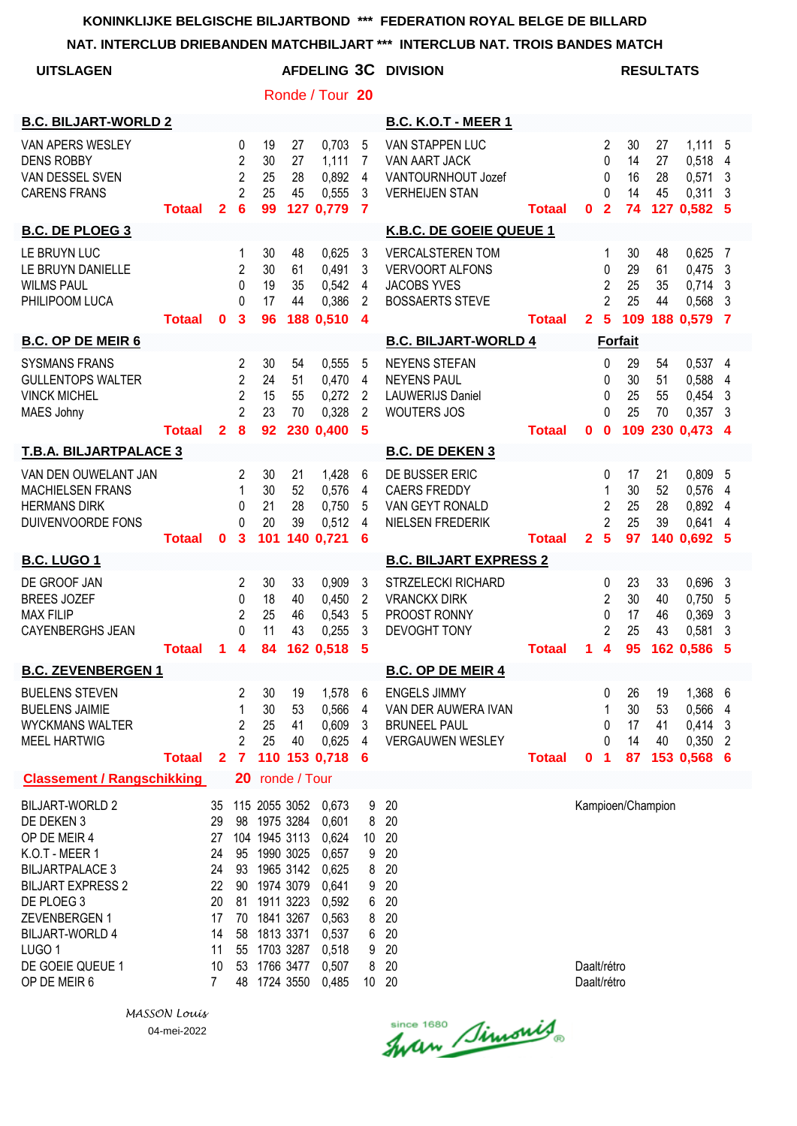#### **NAT. INTERCLUB DRIEBANDEN MATCHBILJART \*\*\* INTERCLUB NAT. TROIS BANDES MATCH**

| <b>UITSLAGEN</b>                                                                                                                                                                                                                               |               |                                                                                  |                                                              |                                                                                                          |                                                               |                                                                                                          |                                                                         | <b>AFDELING 3C DIVISION</b>                                                                       |               |                            |                                                              | <b>RESULTATS</b>            |                      |                                                         |                                 |
|------------------------------------------------------------------------------------------------------------------------------------------------------------------------------------------------------------------------------------------------|---------------|----------------------------------------------------------------------------------|--------------------------------------------------------------|----------------------------------------------------------------------------------------------------------|---------------------------------------------------------------|----------------------------------------------------------------------------------------------------------|-------------------------------------------------------------------------|---------------------------------------------------------------------------------------------------|---------------|----------------------------|--------------------------------------------------------------|-----------------------------|----------------------|---------------------------------------------------------|---------------------------------|
|                                                                                                                                                                                                                                                |               |                                                                                  |                                                              |                                                                                                          |                                                               | Ronde / Tour 20                                                                                          |                                                                         |                                                                                                   |               |                            |                                                              |                             |                      |                                                         |                                 |
| <b>B.C. BILJART-WORLD 2</b>                                                                                                                                                                                                                    |               |                                                                                  |                                                              |                                                                                                          |                                                               |                                                                                                          |                                                                         | <b>B.C. K.O.T - MEER 1</b>                                                                        |               |                            |                                                              |                             |                      |                                                         |                                 |
| VAN APERS WESLEY<br><b>DENS ROBBY</b><br>VAN DESSEL SVEN<br><b>CARENS FRANS</b>                                                                                                                                                                | <b>Totaal</b> | $\mathbf{2}$                                                                     | 0<br>$\overline{2}$<br>$\overline{2}$<br>$\overline{2}$<br>6 | 19<br>30<br>25<br>25<br>99                                                                               | 27<br>27<br>28<br>45                                          | 0,703<br>1,111<br>0,892<br>0,555<br>127 0,779                                                            | 5<br>7<br>4<br>3<br>7                                                   | VAN STAPPEN LUC<br>VAN AART JACK<br>VANTOURNHOUT Jozef<br><b>VERHEIJEN STAN</b>                   | <b>Totaal</b> | 0                          | 2<br>0<br>0<br>0<br>$\overline{2}$                           | 30<br>14<br>16<br>14<br>74  | 27<br>27<br>28<br>45 | $1,111$ 5<br>0,518<br>0,571<br>0,311<br>127 0,582 5     | 4<br>$\mathbf{3}$<br>3          |
| <b>B.C. DE PLOEG 3</b>                                                                                                                                                                                                                         |               |                                                                                  |                                                              |                                                                                                          |                                                               |                                                                                                          |                                                                         | K.B.C. DE GOEIE QUEUE 1                                                                           |               |                            |                                                              |                             |                      |                                                         |                                 |
| LE BRUYN LUC<br>LE BRUYN DANIELLE<br><b>WILMS PAUL</b><br>PHILIPOOM LUCA                                                                                                                                                                       | <b>Totaal</b> | 0                                                                                | 1<br>2<br>0<br>0<br>3                                        | 30<br>30<br>19<br>17<br>96                                                                               | 48<br>61<br>35<br>44                                          | 0,625<br>0,491<br>0,542<br>0,386<br>188 0,510                                                            | 3<br>3<br>4<br>2<br>$\overline{\mathbf{4}}$                             | <b>VERCALSTEREN TOM</b><br><b>VERVOORT ALFONS</b><br><b>JACOBS YVES</b><br><b>BOSSAERTS STEVE</b> | <b>Totaal</b> | $\mathbf{2}$               | 1<br>0<br>2<br>$\overline{2}$<br>$5\phantom{1}$              | 30<br>29<br>25<br>25<br>109 | 48<br>61<br>35<br>44 | 0,625<br>$0,475$ 3<br>$0,714$ 3<br>0,568<br>188 0,579 7 | $\overline{7}$<br>-3            |
| <b>B.C. OP DE MEIR 6</b>                                                                                                                                                                                                                       |               |                                                                                  |                                                              |                                                                                                          |                                                               |                                                                                                          |                                                                         | <b>B.C. BILJART-WORLD 4</b>                                                                       |               |                            |                                                              | <b>Forfait</b>              |                      |                                                         |                                 |
| <b>SYSMANS FRANS</b><br><b>GULLENTOPS WALTER</b><br><b>VINCK MICHEL</b><br>MAES Johny                                                                                                                                                          | <b>Totaal</b> | $\mathbf{2}$                                                                     | 2<br>$\overline{2}$<br>$\overline{2}$<br>$\overline{2}$<br>8 | 30<br>24<br>15<br>23<br>92                                                                               | 54<br>51<br>55<br>70<br>230                                   | 0,555<br>0,470<br>0,272<br>0,328<br>0,400                                                                | 5<br>4<br>$\overline{2}$<br>2<br>5                                      | <b>NEYENS STEFAN</b><br><b>NEYENS PAUL</b><br><b>LAUWERIJS Daniel</b><br><b>WOUTERS JOS</b>       | <b>Totaal</b> | 0                          | 0<br>0<br>0<br>0<br>$\bf{0}$                                 | 29<br>30<br>25<br>25<br>109 | 54<br>51<br>55<br>70 | 0,537 4<br>0,588<br>0,454<br>0,357<br>230 0.473         | $\overline{4}$<br>-3<br>-3<br>4 |
| <b>T.B.A. BILJARTPALACE 3</b>                                                                                                                                                                                                                  |               |                                                                                  |                                                              |                                                                                                          |                                                               |                                                                                                          |                                                                         | <b>B.C. DE DEKEN 3</b>                                                                            |               |                            |                                                              |                             |                      |                                                         |                                 |
| VAN DEN OUWELANT JAN<br><b>MACHIELSEN FRANS</b><br><b>HERMANS DIRK</b><br>DUIVENVOORDE FONS                                                                                                                                                    | <b>Totaal</b> | 0                                                                                | 2<br>1<br>0<br>0<br>3                                        | 30<br>30<br>21<br>20<br>101                                                                              | 21<br>52<br>28<br>39                                          | 1,428<br>0,576<br>0,750<br>0,512<br>140 0,721                                                            | 6<br>4<br>5<br>4<br>6                                                   | DE BUSSER ERIC<br><b>CAERS FREDDY</b><br>VAN GEYT RONALD<br>NIELSEN FREDERIK                      | <b>Totaal</b> | $\mathbf{2}$               | 0<br>1<br>$\overline{c}$<br>$\overline{2}$<br>$5\phantom{1}$ | 17<br>30<br>25<br>25<br>97  | 21<br>52<br>28<br>39 | $0,809$ 5<br>0,576<br>0,892<br>0,641<br>140 0,692 5     | 4<br>4<br>4                     |
| <b>B.C. LUGO 1</b>                                                                                                                                                                                                                             |               |                                                                                  |                                                              |                                                                                                          |                                                               |                                                                                                          |                                                                         | <b>B.C. BILJART EXPRESS 2</b>                                                                     |               |                            |                                                              |                             |                      |                                                         |                                 |
| DE GROOF JAN<br><b>BREES JOZEF</b><br><b>MAX FILIP</b><br><b>CAYENBERGHS JEAN</b>                                                                                                                                                              | <b>Totaal</b> | 1                                                                                | 2<br>0<br>$\overline{2}$<br>0<br>4                           | 30<br>18<br>25<br>11<br>84                                                                               | 33<br>40<br>46<br>43                                          | 0,909<br>0,450<br>0,543<br>0,255<br>162 0,518                                                            | 3<br>2<br>5<br>3<br>5                                                   | <b>STRZELECKI RICHARD</b><br><b>VRANCKX DIRK</b><br>PROOST RONNY<br>DEVOGHT TONY                  | <b>Totaal</b> | 1.                         | 0<br>$\overline{2}$<br>0<br>2<br>$\boldsymbol{4}$            | 23<br>30<br>17<br>25<br>95  | 33<br>40<br>46<br>43 | 0,696<br>0,750<br>0,369<br>0,581<br>162 0,586           | -3<br>5<br>3<br>3<br>5          |
| <b>B.C. ZEVENBERGEN 1</b>                                                                                                                                                                                                                      |               |                                                                                  |                                                              |                                                                                                          |                                                               |                                                                                                          |                                                                         | <b>B.C. OP DE MEIR 4</b>                                                                          |               |                            |                                                              |                             |                      |                                                         |                                 |
| <b>BUELENS STEVEN</b><br><b>BUELENS JAIMIE</b><br><b>WYCKMANS WALTER</b><br><b>MEEL HARTWIG</b>                                                                                                                                                | <b>Totaal</b> | $\mathbf{2}$                                                                     | 2<br>1<br>2<br>$\overline{2}$<br>$\overline{7}$              | 30<br>30<br>25<br>25                                                                                     | 19<br>53<br>41<br>40                                          | 1,578<br>0,566<br>0,609<br>0,625<br>110 153 0,718                                                        | 6<br>4<br>3<br>4<br>-6                                                  | <b>ENGELS JIMMY</b><br>VAN DER AUWERA IVAN<br><b>BRUNEEL PAUL</b><br><b>VERGAUWEN WESLEY</b>      | <b>Totaal</b> | 0                          | 0<br>1<br>0<br>0<br>1                                        | 26<br>30<br>17<br>14<br>87  | 19<br>53<br>41<br>40 | 1,368 6<br>0,566<br>0,414<br>0,350<br>153 0,568 6       | 4<br>-3<br>2                    |
| <b>Classement / Rangschikking</b>                                                                                                                                                                                                              |               |                                                                                  |                                                              | 20 ronde / Tour                                                                                          |                                                               |                                                                                                          |                                                                         |                                                                                                   |               |                            |                                                              |                             |                      |                                                         |                                 |
| <b>BILJART-WORLD 2</b><br>DE DEKEN 3<br>OP DE MEIR 4<br>K.O.T - MEER 1<br><b>BILJARTPALACE 3</b><br><b>BILJART EXPRESS 2</b><br>DE PLOEG 3<br>ZEVENBERGEN 1<br><b>BILJART-WORLD 4</b><br>LUGO <sub>1</sub><br>DE GOEIE QUEUE 1<br>OP DE MEIR 6 |               | 35<br>29<br>27<br>24<br>24<br>22<br>20<br>17<br>14<br>11<br>10<br>$\overline{7}$ | 95<br>93<br>90<br>81<br>58<br>53<br>48                       | 115 2055 3052<br>98 1975 3284<br>104 1945 3113<br>1990 3025<br>70 1841 3267<br>1813 3371<br>55 1703 3287 | 1965 3142<br>1974 3079<br>1911 3223<br>1766 3477<br>1724 3550 | 0,673<br>0,601<br>0,624<br>0,657<br>0,625<br>0,641<br>0,592<br>0,563<br>0,537<br>0,518<br>0,507<br>0,485 | 9<br>8<br>10<br>9<br>8<br>9<br>6<br>8<br>6<br>9<br>8<br>10 <sup>°</sup> | 20<br>20<br>20<br>20<br>20<br>20<br>20<br>20<br>20<br>20<br>20<br>20                              |               | Daalt/rétro<br>Daalt/rétro |                                                              | Kampioen/Champion           |                      |                                                         |                                 |

*MASSON Louis* 04-mei-2022

Since 1680 Simonis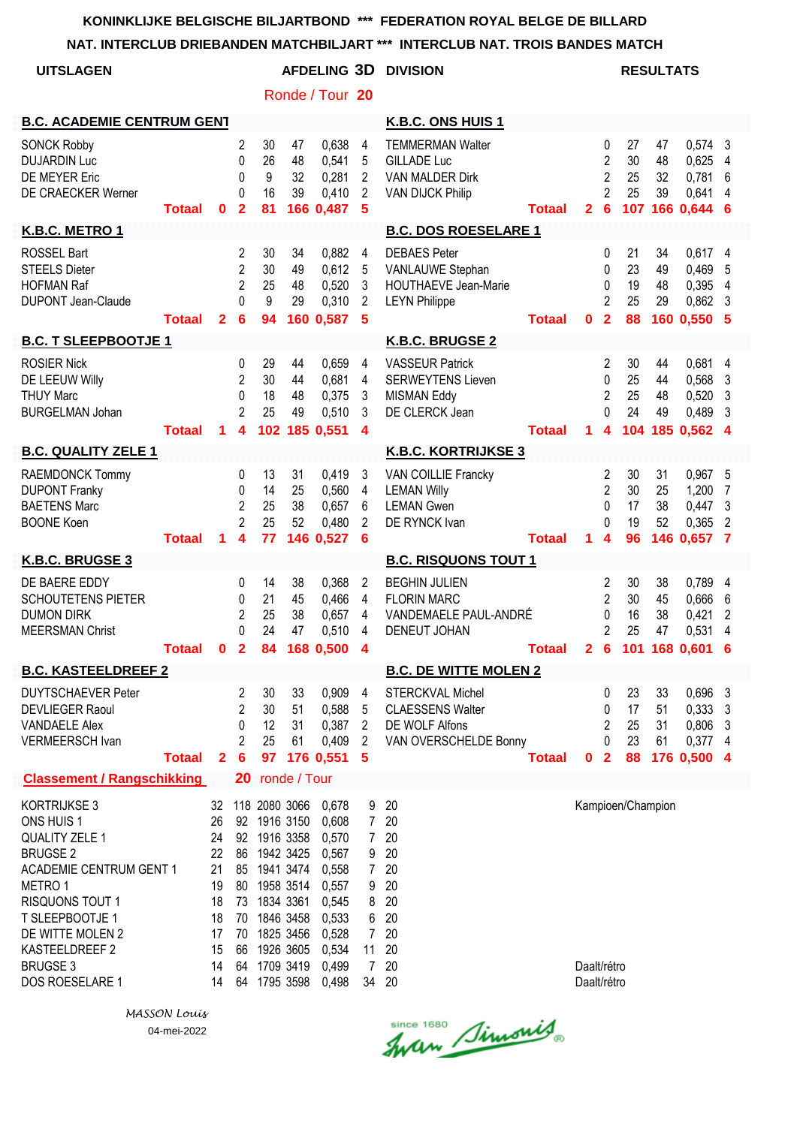**NAT. INTERCLUB DRIEBANDEN MATCHBILJART \*\*\* INTERCLUB NAT. TROIS BANDES MATCH**

| <b>UITSLAGEN</b>                                                                                                                                                                                                                      |               |                                                                      |                                                  |                                                                                                                                                |                        | AFDELING 3D                                                                                              |                                                                                                         | <b>DIVISION</b>                                                                                    |               |                            |                                                               |                             | <b>RESULTATS</b>            |                                                       |                                                 |
|---------------------------------------------------------------------------------------------------------------------------------------------------------------------------------------------------------------------------------------|---------------|----------------------------------------------------------------------|--------------------------------------------------|------------------------------------------------------------------------------------------------------------------------------------------------|------------------------|----------------------------------------------------------------------------------------------------------|---------------------------------------------------------------------------------------------------------|----------------------------------------------------------------------------------------------------|---------------|----------------------------|---------------------------------------------------------------|-----------------------------|-----------------------------|-------------------------------------------------------|-------------------------------------------------|
|                                                                                                                                                                                                                                       |               |                                                                      |                                                  |                                                                                                                                                |                        | Ronde / Tour 20                                                                                          |                                                                                                         |                                                                                                    |               |                            |                                                               |                             |                             |                                                       |                                                 |
| <b>B.C. ACADEMIE CENTRUM GENT</b>                                                                                                                                                                                                     |               |                                                                      |                                                  |                                                                                                                                                |                        |                                                                                                          |                                                                                                         | K.B.C. ONS HUIS 1                                                                                  |               |                            |                                                               |                             |                             |                                                       |                                                 |
| <b>SONCK Robby</b><br><b>DUJARDIN Luc</b><br>DE MEYER Eric<br>DE CRAECKER Werner                                                                                                                                                      | <b>Totaal</b> | $\mathbf 0$                                                          | 2<br>0<br>0<br>0<br>$\overline{2}$               | 30<br>26<br>9<br>16<br>81                                                                                                                      | 47<br>48<br>32<br>39   | 0,638<br>0,541<br>0,281<br>0,410<br>166 0,487                                                            | 4<br>5<br>2<br>2<br>5                                                                                   | <b>TEMMERMAN Walter</b><br><b>GILLADE Luc</b><br><b>VAN MALDER Dirk</b><br><b>VAN DIJCK Philip</b> | Totaal        | $\overline{2}$             | 0<br>$\overline{c}$<br>$\overline{2}$<br>$\overline{2}$<br>6  | 27<br>30<br>25<br>25<br>107 | 47<br>48<br>32<br>39<br>166 | 0,574<br>0,625<br>0,781<br>0,641<br>0,644             | 3<br>4<br>6<br>4<br>6                           |
| K.B.C. METRO 1                                                                                                                                                                                                                        |               |                                                                      |                                                  |                                                                                                                                                |                        |                                                                                                          |                                                                                                         | <b>B.C. DOS ROESELARE 1</b>                                                                        |               |                            |                                                               |                             |                             |                                                       |                                                 |
| <b>ROSSEL Bart</b><br><b>STEELS Dieter</b><br><b>HOFMAN Raf</b><br><b>DUPONT Jean-Claude</b>                                                                                                                                          | <b>Totaal</b> | $\mathbf{2}$                                                         | 2<br>$\overline{2}$<br>$\overline{2}$<br>0<br>6  | 30<br>30<br>25<br>9<br>94                                                                                                                      | 34<br>49<br>48<br>29   | 0,882<br>0,612<br>0,520<br>0,310<br>160 0,587                                                            | 4<br>5<br>3<br>2<br>5                                                                                   | <b>DEBAES Peter</b><br>VANLAUWE Stephan<br><b>HOUTHAEVE Jean-Marie</b><br><b>LEYN Philippe</b>     | <b>Totaal</b> | 0                          | 0<br>0<br>0<br>$\overline{2}$<br>$\overline{2}$               | 21<br>23<br>19<br>25<br>88  | 34<br>49<br>48<br>29<br>160 | 0,617<br>0,469<br>0,395<br>0,862<br>0,550             | 4<br>5<br>4<br>3<br>-5                          |
| <b>B.C. T SLEEPBOOTJE 1</b>                                                                                                                                                                                                           |               |                                                                      |                                                  |                                                                                                                                                |                        |                                                                                                          |                                                                                                         | K.B.C. BRUGSE 2                                                                                    |               |                            |                                                               |                             |                             |                                                       |                                                 |
| <b>ROSIER Nick</b><br>DE LEEUW Willy<br><b>THUY Marc</b><br><b>BURGELMAN Johan</b>                                                                                                                                                    | <b>Totaal</b> | 1                                                                    | 0<br>$\overline{c}$<br>0<br>$\overline{2}$<br>4  | 29<br>30<br>18<br>25<br>102                                                                                                                    | 44<br>44<br>48<br>49   | 0,659<br>0,681<br>0,375<br>0,510<br>185 0,551                                                            | 4<br>4<br>3<br>3<br>4                                                                                   | <b>VASSEUR Patrick</b><br><b>SERWEYTENS Lieven</b><br><b>MISMAN Eddy</b><br>DE CLERCK Jean         | <b>Totaal</b> | 1.                         | $\overline{c}$<br>0<br>$\overline{c}$<br>0<br>4               | 30<br>25<br>25<br>24<br>104 | 44<br>44<br>48<br>49<br>185 | 0,681<br>0,568<br>0,520<br>0,489<br>0,562             | 4<br>3<br>3<br>3<br>$\boldsymbol{4}$            |
| <b>B.C. QUALITY ZELE 1</b>                                                                                                                                                                                                            |               |                                                                      |                                                  |                                                                                                                                                |                        |                                                                                                          |                                                                                                         | <b>K.B.C. KORTRIJKSE 3</b>                                                                         |               |                            |                                                               |                             |                             |                                                       |                                                 |
| RAEMDONCK Tommy<br><b>DUPONT Franky</b><br><b>BAETENS Marc</b><br><b>BOONE Koen</b>                                                                                                                                                   | <b>Totaal</b> | 1                                                                    | 0<br>0<br>$\overline{2}$<br>$\overline{2}$<br>4  | 13<br>14<br>25<br>25<br>77                                                                                                                     | 31<br>25<br>38<br>52   | 0,419<br>0,560<br>0,657<br>0,480<br>146 0,527                                                            | 3<br>4<br>6<br>2<br>6                                                                                   | VAN COILLIE Francky<br><b>LEMAN Willy</b><br><b>LEMAN Gwen</b><br>DE RYNCK Ivan                    | <b>Totaal</b> | 1                          | 2<br>$\overline{2}$<br>0<br>$\Omega$<br>4                     | 30<br>30<br>17<br>19<br>96  | 31<br>25<br>38<br>52<br>146 | 0,967<br>1,200<br>0,447<br>0,365<br>0,657             | 5<br>$\overline{7}$<br>3<br>2<br>$\overline{7}$ |
| K.B.C. BRUGSE 3                                                                                                                                                                                                                       |               |                                                                      |                                                  |                                                                                                                                                |                        |                                                                                                          |                                                                                                         | <b>B.C. RISQUONS TOUT 1</b>                                                                        |               |                            |                                                               |                             |                             |                                                       |                                                 |
| DE BAERE EDDY<br><b>SCHOUTETENS PIETER</b><br><b>DUMON DIRK</b><br><b>MEERSMAN Christ</b>                                                                                                                                             | <b>Totaal</b> | $\mathbf 0$                                                          | 0<br>0<br>2<br>0<br>$\mathbf{2}$                 | 14<br>21<br>25<br>24<br>84                                                                                                                     | 38<br>45<br>38<br>47   | 0,368<br>0,466<br>0,657<br>0,510<br>168 0,500                                                            | 2<br>4<br>4<br>4<br>4                                                                                   | <b>BEGHIN JULIEN</b><br><b>FLORIN MARC</b><br>VANDEMAELE PAUL-ANDRÉ<br><b>DENEUT JOHAN</b>         | Totaal        | $\mathbf{2}$               | 2<br>$\overline{c}$<br>0<br>$\overline{c}$<br>$6\phantom{1}6$ | 30<br>30<br>16<br>25<br>101 | 38<br>45<br>38<br>47        | 0,789<br>0,666<br>0,421<br>0,531<br>168 0,601         | 4<br>6<br>2<br>4<br>6                           |
| <b>B.C. KASTEELDREEF 2</b>                                                                                                                                                                                                            |               |                                                                      |                                                  |                                                                                                                                                |                        |                                                                                                          |                                                                                                         | <b>B.C. DE WITTE MOLEN 2</b>                                                                       |               |                            |                                                               |                             |                             |                                                       |                                                 |
| <b>DUYTSCHAEVER Peter</b><br><b>DEVLIEGER Raoul</b><br><b>VANDAELE Alex</b><br><b>VERMEERSCH Ivan</b>                                                                                                                                 | <b>Totaal</b> | $\mathbf{2}$                                                         | 2<br>$\overline{2}$<br>0<br>2<br>$6\phantom{1}6$ | 30<br>30<br>12<br>25<br>97                                                                                                                     | 33<br>51<br>31<br>61   | 0,909<br>0,588<br>0,387<br>0,409<br>176 0,551                                                            | 4<br>5<br>2<br>2<br>-5                                                                                  | <b>STERCKVAL Michel</b><br><b>CLAESSENS Walter</b><br>DE WOLF Alfons<br>VAN OVERSCHELDE Bonny      | <b>Totaal</b> | $\bf{0}$                   | 0<br>0<br>2<br>0<br>$\overline{2}$                            | 23<br>17<br>25<br>23<br>88  | 33<br>51<br>31<br>61        | 0,696 3<br>0,333<br>0,806<br>$0,377$ 4<br>176 0,500 4 | 3<br>3                                          |
| <b>Classement / Rangschikking</b>                                                                                                                                                                                                     |               |                                                                      |                                                  | 20 ronde / Tour                                                                                                                                |                        |                                                                                                          |                                                                                                         |                                                                                                    |               |                            |                                                               |                             |                             |                                                       |                                                 |
| KORTRIJKSE 3<br>ONS HUIS 1<br>QUALITY ZELE 1<br><b>BRUGSE 2</b><br><b>ACADEMIE CENTRUM GENT 1</b><br>METRO 1<br><b>RISQUONS TOUT 1</b><br>T SLEEPBOOTJE 1<br>DE WITTE MOLEN 2<br>KASTEELDREEF 2<br><b>BRUGSE 3</b><br>DOS ROESELARE 1 |               | 32<br>26<br>24<br>22<br>21<br>19<br>18<br>18<br>17<br>15<br>14<br>14 | 86<br>73<br>70<br>70<br>66<br>64<br>64           | 118 2080 3066<br>92 1916 3150<br>92 1916 3358<br>1942 3425<br>85 1941 3474<br>80 1958 3514<br>1834 3361<br>1846 3458<br>1926 3605<br>1709 3419 | 1825 3456<br>1795 3598 | 0,678<br>0,608<br>0,570<br>0,567<br>0,558<br>0,557<br>0,545<br>0,533<br>0,528<br>0,534<br>0,499<br>0,498 | 9<br>7 <sup>1</sup><br>$7\overline{ }$<br>9<br>$7\overline{ }$<br>9<br>8<br>6<br>$7^{\circ}$<br>11<br>7 | 20<br>20<br>20<br>20<br>20<br>20<br>20<br>20<br>20<br>20<br>20<br>34 20                            |               | Daalt/rétro<br>Daalt/rétro |                                                               | Kampioen/Champion           |                             |                                                       |                                                 |

Since 1680 Simonis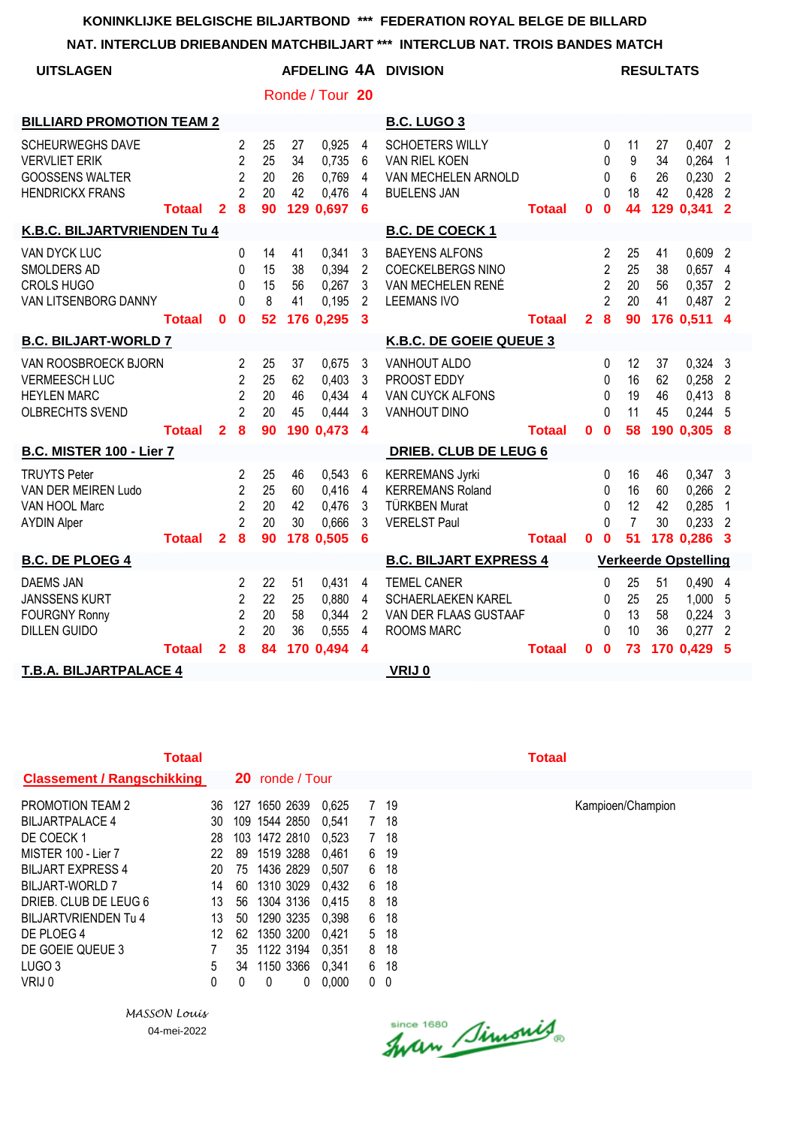**NAT. INTERCLUB DRIEBANDEN MATCHBILJART \*\*\* INTERCLUB NAT. TROIS BANDES MATCH**

| <b>UITSLAGEN</b>                                                                                                     |                |                                                              |                            |                      |                                               |                       | AFDELING 4A DIVISION                                                                             |               |                |                                                         |                                        | <b>RESULTATS</b>     |                                                         |                                        |
|----------------------------------------------------------------------------------------------------------------------|----------------|--------------------------------------------------------------|----------------------------|----------------------|-----------------------------------------------|-----------------------|--------------------------------------------------------------------------------------------------|---------------|----------------|---------------------------------------------------------|----------------------------------------|----------------------|---------------------------------------------------------|----------------------------------------|
|                                                                                                                      |                |                                                              |                            |                      | Ronde / Tour 20                               |                       |                                                                                                  |               |                |                                                         |                                        |                      |                                                         |                                        |
| <b>BILLIARD PROMOTION TEAM 2</b>                                                                                     |                |                                                              |                            |                      |                                               |                       | <b>B.C. LUGO 3</b>                                                                               |               |                |                                                         |                                        |                      |                                                         |                                        |
| <b>SCHEURWEGHS DAVE</b><br><b>VERVLIET ERIK</b><br><b>GOOSSENS WALTER</b><br><b>HENDRICKX FRANS</b><br><b>Totaal</b> | $\overline{2}$ | 2<br>$\overline{2}$<br>$\overline{2}$<br>$\overline{2}$<br>8 | 25<br>25<br>20<br>20<br>90 | 27<br>34<br>26<br>42 | 0,925<br>0,735<br>0,769<br>0,476<br>129 0,697 | 4<br>6<br>4<br>4<br>6 | <b>SCHOETERS WILLY</b><br>VAN RIEL KOEN<br>VAN MECHELEN ARNOLD<br><b>BUELENS JAN</b>             | <b>Totaal</b> | $\mathbf 0$    | 0<br>$\Omega$<br>0<br>0<br>$\bf{0}$                     | 11<br>9<br>6<br>18<br>44               | 27<br>34<br>26<br>42 | $0,407$ 2<br>0,264<br>0,230<br>0,428<br>129 0,341 2     | -1<br>$\overline{2}$<br>$\overline{2}$ |
| <b>K.B.C. BILJARTVRIENDEN Tu 4</b>                                                                                   |                |                                                              |                            |                      |                                               |                       | <b>B.C. DE COECK 1</b>                                                                           |               |                |                                                         |                                        |                      |                                                         |                                        |
| VAN DYCK LUC<br>SMOLDERS AD<br><b>CROLS HUGO</b><br>VAN LITSENBORG DANNY<br><b>Totaal</b>                            | $\mathbf{0}$   | $\Omega$<br>$\Omega$<br>$\Omega$<br>U<br>$\mathbf{0}$        | 14<br>15<br>15<br>8<br>52  | 41<br>38<br>56<br>41 | 0,341<br>0,394<br>0,267<br>0.195<br>176 0,295 | 3<br>2<br>3<br>2<br>3 | <b>BAEYENS ALFONS</b><br><b>COECKELBERGS NINO</b><br>VAN MECHELEN RENÉ<br><b>LEEMANS IVO</b>     | Totaal        | 28             | 2<br>$\overline{2}$<br>$\overline{2}$<br>$\mathfrak{p}$ | 25<br>25<br>20<br>20<br>90             | 41<br>38<br>56<br>41 | 0,609<br>0,657<br>$0.357$ 2<br>$0,487$ 2<br>176 0.511 4 | $\overline{2}$<br>4                    |
| <b>B.C. BILJART-WORLD 7</b>                                                                                          |                |                                                              |                            |                      |                                               |                       | K.B.C. DE GOEIE QUEUE 3                                                                          |               |                |                                                         |                                        |                      |                                                         |                                        |
| VAN ROOSBROECK BJORN<br><b>VERMEESCH LUC</b><br><b>HEYLEN MARC</b><br><b>OLBRECHTS SVEND</b>                         |                | 2<br>$\overline{2}$<br>$\overline{2}$<br>$\overline{2}$      | 25<br>25<br>20<br>20       | 37<br>62<br>46<br>45 | 0,675<br>0,403<br>0,434<br>0,444              | 3<br>3<br>4<br>3      | <b>VANHOUT ALDO</b><br>PROOST EDDY<br>VAN CUYCK ALFONS<br>VANHOUT DINO                           |               |                | 0<br>0<br>$\Omega$<br>$\Omega$                          | 12<br>16<br>19<br>11                   | 37<br>62<br>46<br>45 | $0,324$ 3<br>0,258<br>0,413<br>0,244                    | $\overline{2}$<br>- 8<br>- 5           |
| <b>Totaal</b>                                                                                                        | $\overline{2}$ | 8                                                            | 90                         |                      | 190 0,473                                     | $\boldsymbol{4}$      |                                                                                                  | <b>Totaal</b> | 0 <sub>0</sub> |                                                         | 58                                     |                      | 190 0.305 8                                             |                                        |
| <b>B.C. MISTER 100 - Lier 7</b>                                                                                      |                |                                                              |                            |                      |                                               |                       | <b>DRIEB. CLUB DE LEUG 6</b>                                                                     |               |                |                                                         |                                        |                      |                                                         |                                        |
| <b>TRUYTS Peter</b><br>VAN DER MEIREN Ludo<br>VAN HOOL Marc<br><b>AYDIN Alper</b><br><b>Totaal</b>                   | $\mathbf{2}$   | 2<br>$\overline{2}$<br>$\overline{2}$<br>$\overline{2}$<br>8 | 25<br>25<br>20<br>20<br>90 | 46<br>60<br>42<br>30 | 0,543<br>0,416<br>0,476<br>0,666<br>178 0,505 | 6<br>4<br>3<br>3<br>6 | <b>KERREMANS Jyrki</b><br><b>KERREMANS Roland</b><br><b>TÜRKBEN Murat</b><br><b>VERELST Paul</b> | <b>Totaal</b> | $\mathbf{0}$   | 0<br>$\Omega$<br>0<br>$\Omega$<br>$\mathbf 0$           | 16<br>16<br>12<br>$\overline{7}$<br>51 | 46<br>60<br>42<br>30 | $0,347$ 3<br>$0,266$ 2<br>0,285<br>0,233<br>178 0,286 3 | $\overline{1}$<br>$\overline{2}$       |
| <b>B.C. DE PLOEG 4</b>                                                                                               |                |                                                              |                            |                      |                                               |                       | <b>B.C. BILJART EXPRESS 4</b>                                                                    |               |                |                                                         |                                        |                      | <b>Verkeerde Opstelling</b>                             |                                        |
| <b>DAEMS JAN</b><br><b>JANSSENS KURT</b><br><b>FOURGNY Ronny</b><br><b>DILLEN GUIDO</b>                              |                | 2<br>$\overline{2}$<br>$\overline{2}$<br>$\overline{2}$      | 22<br>22<br>20<br>20       | 51<br>25<br>58<br>36 | 0,431<br>0,880<br>0,344<br>0,555              | 4<br>4<br>2<br>4      | <b>TEMEL CANER</b><br><b>SCHAERLAEKEN KAREL</b><br>VAN DER FLAAS GUSTAAF<br><b>ROOMS MARC</b>    |               |                | 0<br>$\Omega$<br>$\Omega$<br>$\Omega$                   | 25<br>25<br>13<br>10                   | 51<br>25<br>58<br>36 | 0,490 4<br>1,000 5<br>0,224<br>0,277                    | 3<br>$\overline{2}$                    |
| <b>Totaal</b><br><b>T.B.A. BILJARTPALACE 4</b>                                                                       | $\mathbf{2}$   | 8                                                            | 84                         |                      | 170 0.494                                     | 4                     | VRIJ 0                                                                                           | <b>Totaal</b> | $\mathbf{0}$   | $\mathbf 0$                                             | 73                                     |                      | 170 0.429                                               | 5                                      |

| <b>Totaal</b>                     |    |     |                 |   |       |                |    | Totaal |
|-----------------------------------|----|-----|-----------------|---|-------|----------------|----|--------|
| <b>Classement / Rangschikking</b> |    |     | 20 ronde / Tour |   |       |                |    |        |
| <b>PROMOTION TEAM 2</b>           | 36 | 127 | 1650 2639       |   | 0,625 | 7              | 19 |        |
| <b>BILJARTPALACE 4</b>            | 30 |     | 109 1544 2850   |   | 0.541 | $\overline{7}$ | 18 |        |
| DE COECK 1                        | 28 |     | 103 1472 2810   |   | 0.523 | 7              | 18 |        |
| MISTER 100 - Lier 7               | 22 | 89  | 1519 3288       |   | 0.461 | 6              | 19 |        |
| <b>BILJART EXPRESS 4</b>          | 20 | 75  | 1436 2829       |   | 0.507 | 6              | 18 |        |
| BILJART-WORLD 7                   | 14 | 60  | 1310 3029       |   | 0.432 | 6              | 18 |        |
| DRIEB. CLUB DE LEUG 6             | 13 | 56  | 1304 3136       |   | 0.415 | 8              | 18 |        |
| BILJARTVRIENDEN Tu 4              | 13 | 50  | 1290 3235       |   | 0,398 | 6              | 18 |        |
| DE PLOEG 4                        | 12 | 62  | 1350 3200       |   | 0,421 | 5              | 18 |        |
| DE GOEIE QUEUE 3                  |    | 35  | 1122 3194       |   | 0.351 | 8              | 18 |        |
| LUGO <sub>3</sub>                 | 5  | 34  | 1150 3366       |   | 0,341 | 6              | 18 |        |
| VRIJ 0                            | 0  | 0   | 0               | 0 | 0.000 | 0              | 0  |        |

*MASSON Louis* 04-mei-2022 Since 1680 Simonis

PROMOTION TEAM 2 36 127 1650 2639 0,625 7 19 Kampioen/Champion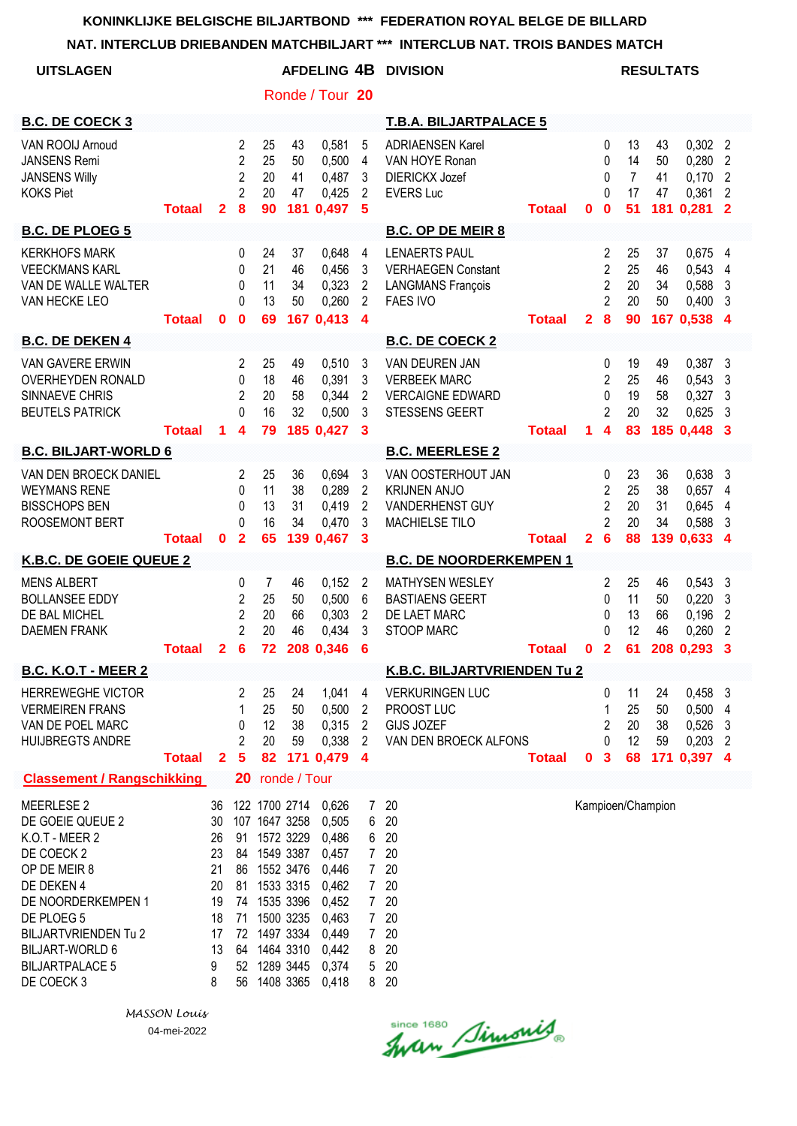**NAT. INTERCLUB DRIEBANDEN MATCHBILJART \*\*\* INTERCLUB NAT. TROIS BANDES MATCH**

|                                                                                                                                                                                                                                   |               |                                                                    |                                                              |                            |                                                                                                                                                                  | טשוטו וט ואואו זושטאומט                                                                                  |                                                                                                                        | . ו חוו טטביט                                                                                    |                           |                |                                                                                             |                                        |                      |                                                         |                                                                           |
|-----------------------------------------------------------------------------------------------------------------------------------------------------------------------------------------------------------------------------------|---------------|--------------------------------------------------------------------|--------------------------------------------------------------|----------------------------|------------------------------------------------------------------------------------------------------------------------------------------------------------------|----------------------------------------------------------------------------------------------------------|------------------------------------------------------------------------------------------------------------------------|--------------------------------------------------------------------------------------------------|---------------------------|----------------|---------------------------------------------------------------------------------------------|----------------------------------------|----------------------|---------------------------------------------------------|---------------------------------------------------------------------------|
| <b>UITSLAGEN</b>                                                                                                                                                                                                                  |               |                                                                    |                                                              |                            |                                                                                                                                                                  |                                                                                                          |                                                                                                                        | AFDELING 4B DIVISION                                                                             |                           |                |                                                                                             |                                        | <b>RESULTATS</b>     |                                                         |                                                                           |
|                                                                                                                                                                                                                                   |               |                                                                    |                                                              |                            |                                                                                                                                                                  | Ronde / Tour 20                                                                                          |                                                                                                                        |                                                                                                  |                           |                |                                                                                             |                                        |                      |                                                         |                                                                           |
| <b>B.C. DE COECK 3</b>                                                                                                                                                                                                            |               |                                                                    |                                                              |                            |                                                                                                                                                                  |                                                                                                          |                                                                                                                        | <b>T.B.A. BILJARTPALACE 5</b>                                                                    |                           |                |                                                                                             |                                        |                      |                                                         |                                                                           |
| VAN ROOIJ Arnoud<br><b>JANSENS Remi</b><br><b>JANSENS Willy</b><br><b>KOKS Piet</b>                                                                                                                                               | <b>Totaal</b> | $\mathbf{2}$                                                       | 2<br>$\overline{2}$<br>$\overline{2}$<br>$\overline{2}$<br>8 | 25<br>25<br>20<br>20<br>90 | 43<br>50<br>41<br>47                                                                                                                                             | 0,581<br>0,500<br>0,487<br>0,425<br>181 0,497                                                            | 5<br>4<br>3<br>2<br>5                                                                                                  | <b>ADRIAENSEN Karel</b><br>VAN HOYE Ronan<br><b>DIERICKX Jozef</b><br><b>EVERS Luc</b>           | <b>Totaal</b>             | 0              | 0<br>$\mathbf{0}$<br>0<br>$\Omega$<br>$\mathbf 0$                                           | 13<br>14<br>$\overline{7}$<br>17<br>51 | 43<br>50<br>41<br>47 | 0,302<br>0,280<br>0,170<br>0,361<br>181 0.281           | $\overline{2}$<br>2<br>$\overline{2}$<br>$\overline{2}$<br>$\overline{2}$ |
| <b>B.C. DE PLOEG 5</b>                                                                                                                                                                                                            |               |                                                                    |                                                              |                            |                                                                                                                                                                  |                                                                                                          |                                                                                                                        | <b>B.C. OP DE MEIR 8</b>                                                                         |                           |                |                                                                                             |                                        |                      |                                                         |                                                                           |
| <b>KERKHOFS MARK</b><br><b>VEECKMANS KARL</b><br>VAN DE WALLE WALTER<br>VAN HECKE LEO                                                                                                                                             | <b>Totaal</b> | $\mathbf 0$                                                        | 0<br>0<br>0<br>0<br>$\bf{0}$                                 | 24<br>21<br>11<br>13<br>69 | 37<br>46<br>34<br>50                                                                                                                                             | 0,648<br>0,456<br>0,323<br>0,260<br>167 0,413                                                            | $\overline{4}$<br>3<br>$\overline{2}$<br>$\overline{2}$<br>$\overline{\mathbf{4}}$                                     | <b>LENAERTS PAUL</b><br><b>VERHAEGEN Constant</b><br><b>LANGMANS François</b><br><b>FAES IVO</b> | <b>Totaal</b>             | $\overline{2}$ | $\overline{c}$<br>$\overline{2}$<br>$\overline{2}$<br>$\overline{2}$<br>8                   | 25<br>25<br>20<br>20<br>90             | 37<br>46<br>34<br>50 | 0,675 4<br>0,543<br>0,588<br>0,400<br>167 0.538 4       | 4<br>3<br>3                                                               |
| <b>B.C. DE DEKEN 4</b>                                                                                                                                                                                                            |               |                                                                    |                                                              |                            |                                                                                                                                                                  |                                                                                                          |                                                                                                                        | <b>B.C. DE COECK 2</b>                                                                           |                           |                |                                                                                             |                                        |                      |                                                         |                                                                           |
| VAN GAVERE ERWIN<br><b>OVERHEYDEN RONALD</b><br>SINNAEVE CHRIS<br><b>BEUTELS PATRICK</b>                                                                                                                                          | <b>Totaal</b> | 1                                                                  | 2<br>0<br>2<br>0<br>4                                        | 25<br>18<br>20<br>16<br>79 | 49<br>46<br>58<br>32                                                                                                                                             | 0,510<br>0,391<br>0,344<br>0,500<br>185 0,427                                                            | 3<br>3<br>2<br>3<br>3                                                                                                  | VAN DEUREN JAN<br><b>VERBEEK MARC</b><br><b>VERCAIGNE EDWARD</b><br>STESSENS GEERT               | <b>Totaal</b>             | 1.             | $\mathbf{0}$<br>$\overline{2}$<br>$\mathbf{0}$<br>$\mathfrak{p}$<br>$\overline{\mathbf{4}}$ | 19<br>25<br>19<br>20<br>83             | 49<br>46<br>58<br>32 | $0,387$ 3<br>0,543<br>$0,327$ 3<br>0,625<br>185 0.448 3 | 3<br>3                                                                    |
| <b>B.C. BILJART-WORLD 6</b>                                                                                                                                                                                                       |               |                                                                    |                                                              |                            |                                                                                                                                                                  |                                                                                                          |                                                                                                                        | <b>B.C. MEERLESE 2</b>                                                                           |                           |                |                                                                                             |                                        |                      |                                                         |                                                                           |
| VAN DEN BROECK DANIEL<br><b>WEYMANS RENE</b><br><b>BISSCHOPS BEN</b><br><b>ROOSEMONT BERT</b>                                                                                                                                     | Totaal        | $\mathbf{0}$                                                       | 2<br>$\Omega$<br>0<br>0<br>$\overline{2}$                    | 25<br>11<br>13<br>16<br>65 | 36<br>38<br>31<br>34                                                                                                                                             | 0,694<br>0,289<br>0,419<br>0,470<br>139 0,467                                                            | 3<br>2<br>2<br>3<br>$\mathbf{3}$                                                                                       | VAN OOSTERHOUT JAN<br><b>KRIJNEN ANJO</b><br><b>VANDERHENST GUY</b><br><b>MACHIELSE TILO</b>     | <b>Totaal</b>             | $\overline{2}$ | 0<br>$\overline{2}$<br>$\overline{2}$<br>$\overline{2}$<br>$6\phantom{a}$                   | 23<br>25<br>20<br>20<br>88             | 36<br>38<br>31<br>34 | 0,638<br>0,657<br>0,645<br>0,588<br>139 0,633 4         | 3<br>4<br>4<br>3                                                          |
| K.B.C. DE GOEIE QUEUE 2                                                                                                                                                                                                           |               |                                                                    |                                                              |                            |                                                                                                                                                                  |                                                                                                          |                                                                                                                        | <b>B.C. DE NOORDERKEMPEN 1</b>                                                                   |                           |                |                                                                                             |                                        |                      |                                                         |                                                                           |
| <b>MENS ALBERT</b><br><b>BOLLANSEE EDDY</b><br>DE BAL MICHEL<br><b>DAEMEN FRANK</b>                                                                                                                                               | Totaal 2 6    |                                                                    | 0<br>$\overline{2}$<br>$\overline{2}$<br>$\overline{2}$      | 7<br>25<br>20<br>20        | 46<br>50<br>66<br>46                                                                                                                                             | 0,152<br>0,500<br>0,303<br>0,434<br>72 208 0,346 6                                                       | $\overline{2}$<br>$6\phantom{1}6$<br>2<br>3                                                                            | <b>MATHYSEN WESLEY</b><br><b>BASTIAENS GEERT</b><br>DE LAET MARC<br><b>STOOP MARC</b>            | Totaal 0 2 61 208 0,293 3 |                | $\overline{2}$<br>$\Omega$<br>$\mathbf{0}$<br>0                                             | 25<br>11<br>13<br>12                   | 46<br>50<br>66<br>46 | 0,543<br>0,220<br>0,196<br>0,260                        | $\overline{\mathbf{3}}$<br>3<br>$\overline{2}$<br>$\overline{2}$          |
| <b>B.C. K.O.T - MEER 2</b>                                                                                                                                                                                                        |               |                                                                    |                                                              |                            |                                                                                                                                                                  |                                                                                                          |                                                                                                                        | <b>K.B.C. BILJARTVRIENDEN Tu 2</b>                                                               |                           |                |                                                                                             |                                        |                      |                                                         |                                                                           |
| <b>HERREWEGHE VICTOR</b><br><b>VERMEIREN FRANS</b><br>VAN DE POEL MARC<br><b>HUIJBREGTS ANDRE</b>                                                                                                                                 | <b>Totaal</b> | $\mathbf{2}$                                                       | 2<br>1<br>0<br>2<br>$\overline{\mathbf{5}}$                  | 25<br>25<br>12<br>20<br>82 | 24<br>50<br>38<br>59                                                                                                                                             | 1,041<br>0,500<br>0,315<br>0,338<br>171 0,479                                                            | 4<br>2<br>$\overline{2}$<br>$\overline{2}$<br>$\overline{4}$                                                           | <b>VERKURINGEN LUC</b><br>PROOST LUC<br>GIJS JOZEF<br>VAN DEN BROECK ALFONS                      | <b>Totaal</b>             | $\mathbf 0$    | 0<br>1<br>$\overline{2}$<br>0<br>$\mathbf{3}$                                               | 11<br>25<br>20<br>12<br>68             | 24<br>50<br>38<br>59 | $0,458$ 3<br>0,500<br>0,526<br>0,203<br>171 0,397 4     | 4<br>3<br>2                                                               |
| <b>Classement / Rangschikking</b>                                                                                                                                                                                                 |               |                                                                    | 20                                                           |                            | ronde / Tour                                                                                                                                                     |                                                                                                          |                                                                                                                        |                                                                                                  |                           |                |                                                                                             |                                        |                      |                                                         |                                                                           |
| MEERLESE 2<br>DE GOEIE QUEUE 2<br>K.O.T - MEER 2<br>DE COECK 2<br>OP DE MEIR 8<br>DE DEKEN 4<br>DE NOORDERKEMPEN 1<br>DE PLOEG 5<br><b>BILJARTVRIENDEN Tu 2</b><br><b>BILJART-WORLD 6</b><br><b>BILJARTPALACE 5</b><br>DE COECK 3 |               | 36<br>30<br>26<br>23<br>21<br>20<br>19<br>18<br>17<br>13<br>9<br>8 | 91<br>84<br>86<br>81<br>74<br>71<br>72<br>64<br>52<br>56     |                            | 122 1700 2714<br>107 1647 3258<br>1572 3229<br>1549 3387<br>1552 3476<br>1533 3315<br>1535 3396<br>1500 3235<br>1497 3334<br>1464 3310<br>1289 3445<br>1408 3365 | 0,626<br>0,505<br>0,486<br>0,457<br>0,446<br>0,462<br>0,452<br>0,463<br>0,449<br>0,442<br>0,374<br>0,418 | 7<br>6<br>6<br>$7^{\circ}$<br>7 <sup>1</sup><br>7 <sup>1</sup><br>$\overline{7}$<br>$\overline{7}$<br>7<br>8<br>5<br>8 | 20<br>20<br>20<br>20<br>20<br>20<br>20<br>20<br>20<br>20<br>20<br>20                             |                           |                |                                                                                             |                                        | Kampioen/Champion    |                                                         |                                                                           |

Since 1680 Simonis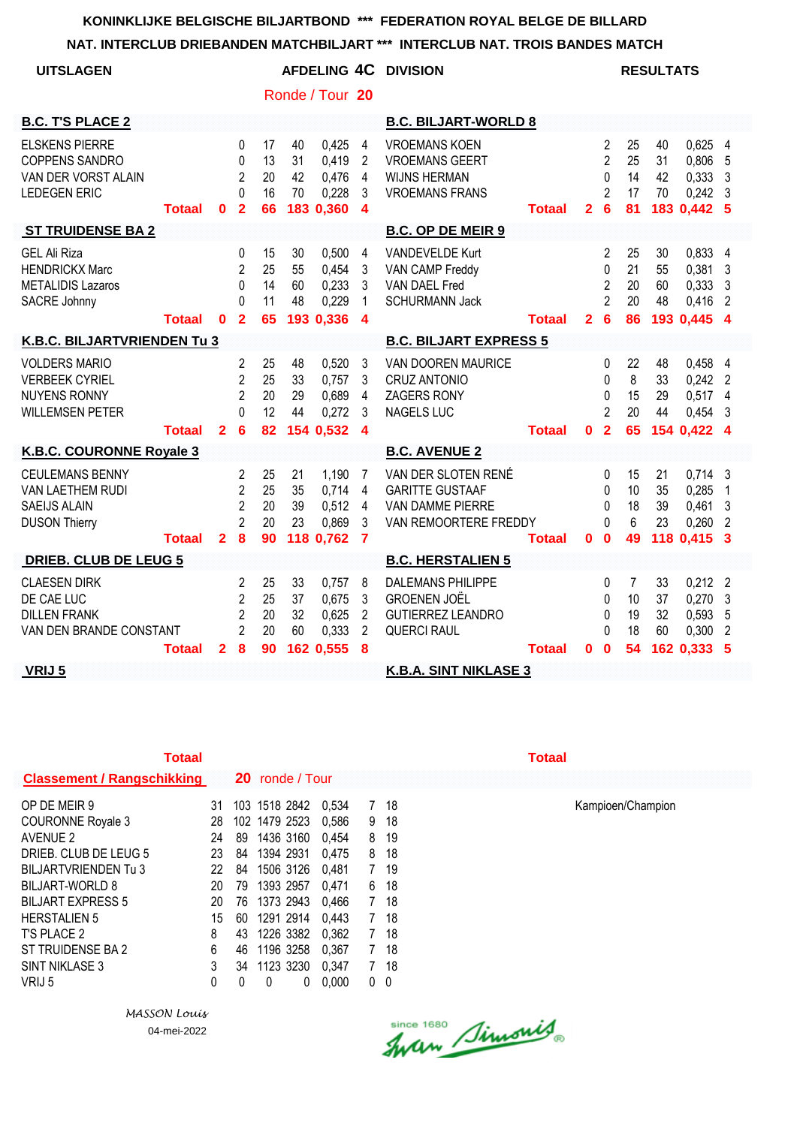#### **NAT. INTERCLUB DRIEBANDEN MATCHBILJART \*\*\* INTERCLUB NAT. TROIS BANDES MATCH**

| <b>UITSLAGEN</b>                                                                               |               |                |                                                                           |                            |                      |                                               |                                      | <b>AFDELING 4C DIVISION</b>                                                                       |               |                |                                                                              |                                  | <b>RESULTATS</b>     |                                                           |                                                    |
|------------------------------------------------------------------------------------------------|---------------|----------------|---------------------------------------------------------------------------|----------------------------|----------------------|-----------------------------------------------|--------------------------------------|---------------------------------------------------------------------------------------------------|---------------|----------------|------------------------------------------------------------------------------|----------------------------------|----------------------|-----------------------------------------------------------|----------------------------------------------------|
|                                                                                                |               |                |                                                                           |                            |                      | Ronde / Tour 20                               |                                      |                                                                                                   |               |                |                                                                              |                                  |                      |                                                           |                                                    |
| <b>B.C. T'S PLACE 2</b>                                                                        |               |                |                                                                           |                            |                      |                                               |                                      | <b>B.C. BILJART-WORLD 8</b>                                                                       |               |                |                                                                              |                                  |                      |                                                           |                                                    |
| <b>ELSKENS PIERRE</b><br><b>COPPENS SANDRO</b><br>VAN DER VORST ALAIN<br><b>LEDEGEN ERIC</b>   | <b>Totaal</b> | $\bf{0}$       | $\Omega$<br>$\Omega$<br>$\overline{2}$<br>$\Omega$<br>$\overline{2}$      | 17<br>13<br>20<br>16<br>66 | 40<br>31<br>42<br>70 | 0,425<br>0,419<br>0,476<br>0,228<br>183 0,360 | 4<br>2<br>4<br>3<br>$\boldsymbol{4}$ | <b>VROEMANS KOEN</b><br><b>VROEMANS GEERT</b><br><b>WIJNS HERMAN</b><br><b>VROEMANS FRANS</b>     | <b>Totaal</b> | $\mathbf{2}$   | 2<br>$\overline{2}$<br>$\Omega$<br>$\overline{2}$<br>6                       | 25<br>25<br>14<br>17<br>81       | 40<br>31<br>42<br>70 | $0,625$ 4<br>0,806<br>0,333<br>0,242<br>183 0,442 5       | -5<br>3<br>- 3                                     |
| <b>ST TRUIDENSE BA 2</b>                                                                       |               |                |                                                                           |                            |                      |                                               |                                      | <b>B.C. OP DE MEIR 9</b>                                                                          |               |                |                                                                              |                                  |                      |                                                           |                                                    |
| <b>GEL Ali Riza</b><br><b>HENDRICKX Marc</b><br><b>METALIDIS Lazaros</b><br>SACRE Johnny       | <b>Totaal</b> | $\bf{0}$       | $\Omega$<br>2<br>$\Omega$<br>$\Omega$<br>$\overline{2}$                   | 15<br>25<br>14<br>11<br>65 | 30<br>55<br>60<br>48 | 0,500<br>0,454<br>0,233<br>0,229<br>193 0.336 | 4<br>3<br>3<br>1<br>$\boldsymbol{4}$ | <b>VANDEVELDE Kurt</b><br>VAN CAMP Freddy<br>VAN DAEL Fred<br><b>SCHURMANN Jack</b>               | <b>Totaal</b> | $\overline{2}$ | 2<br>$\mathbf{0}$<br>$\overline{2}$<br>$\mathfrak{p}$<br>$6\phantom{1}6$     | 25<br>21<br>20<br>20<br>86       | 30<br>55<br>60<br>48 | 0,833<br>0,381<br>0,333<br>0,416<br>193 0,445             | -4<br>3<br>3<br>$\overline{2}$<br>$\boldsymbol{4}$ |
| <b>K.B.C. BILJARTVRIENDEN Tu 3</b>                                                             |               |                |                                                                           |                            |                      |                                               |                                      | <b>B.C. BILJART EXPRESS 5</b>                                                                     |               |                |                                                                              |                                  |                      |                                                           |                                                    |
| <b>VOLDERS MARIO</b><br><b>VERBEEK CYRIEL</b><br><b>NUYENS RONNY</b><br><b>WILLEMSEN PETER</b> | <b>Totaal</b> | $\mathbf{2}$   | $\overline{2}$<br>$\overline{2}$<br>$\overline{2}$<br>$\Omega$<br>6       | 25<br>25<br>20<br>12<br>82 | 48<br>33<br>29<br>44 | 0,520<br>0,757<br>0,689<br>0,272<br>154 0,532 | 3<br>3<br>4<br>3<br>$\boldsymbol{4}$ | VAN DOOREN MAURICE<br><b>CRUZ ANTONIO</b><br>ZAGERS RONY<br><b>NAGELS LUC</b>                     | <b>Totaal</b> | 0              | $\mathbf{0}$<br>$\Omega$<br>$\mathbf{0}$<br>$\overline{2}$<br>$\overline{2}$ | 22<br>8<br>15<br>20<br>65        | 48<br>33<br>29<br>44 | 0,458 4<br>$0,242$ 2<br>$0,517$ 4<br>0,454<br>154 0.422 4 | 3                                                  |
| <b>K.B.C. COURONNE Royale 3</b>                                                                |               |                |                                                                           |                            |                      |                                               |                                      | <b>B.C. AVENUE 2</b>                                                                              |               |                |                                                                              |                                  |                      |                                                           |                                                    |
| <b>CEULEMANS BENNY</b><br>VAN LAETHEM RUDI<br><b>SAEIJS ALAIN</b><br><b>DUSON Thierry</b>      | Totaal        | $\overline{2}$ | $\overline{2}$<br>$\overline{2}$<br>$\overline{2}$<br>$\overline{2}$<br>8 | 25<br>25<br>20<br>20<br>90 | 21<br>35<br>39<br>23 | 1,190<br>0,714<br>0,512<br>0,869<br>118 0,762 | 7<br>4<br>4<br>3<br>$\overline{7}$   | VAN DER SLOTEN RENÉ<br><b>GARITTE GUSTAAF</b><br>VAN DAMME PIERRE<br>VAN REMOORTERE FREDDY        | <b>Totaal</b> | $\mathbf 0$    | $\mathbf{0}$<br>$\Omega$<br>$\mathbf{0}$<br>$\Omega$<br>$\mathbf 0$          | 15<br>10<br>18<br>6<br>49        | 21<br>35<br>39<br>23 | $0,714$ 3<br>0,285<br>0,461<br>0,260<br>118 0,415 3       | $\overline{1}$<br>3<br>$\overline{2}$              |
| <b>DRIEB. CLUB DE LEUG 5</b>                                                                   |               |                |                                                                           |                            |                      |                                               |                                      | <b>B.C. HERSTALIEN 5</b>                                                                          |               |                |                                                                              |                                  |                      |                                                           |                                                    |
| <b>CLAESEN DIRK</b><br>DE CAE LUC<br><b>DILLEN FRANK</b><br>VAN DEN BRANDE CONSTANT            |               |                | 2<br>$\overline{2}$<br>$\overline{2}$<br>$\overline{2}$                   | 25<br>25<br>20<br>20       | 33<br>37<br>32<br>60 | 0,757<br>0.675<br>0.625<br>0,333              | 8<br>3<br>$\overline{2}$<br>2        | <b>DALEMANS PHILIPPE</b><br><b>GROENEN JOËL</b><br><b>GUTIERREZ LEANDRO</b><br><b>QUERCI RAUL</b> |               |                | $\Omega$<br>$\mathbf{0}$<br>$\mathbf{0}$<br>$\Omega$                         | $\overline{7}$<br>10<br>19<br>18 | 33<br>37<br>32<br>60 | $0,212$ 2<br>0,270<br>0,593<br>0,300                      | 3<br>5<br>$\overline{2}$                           |
| VRIJ 5                                                                                         | <b>Totaal</b> | $\mathbf{2}$   | 8                                                                         | 90                         |                      | 162 0,555                                     | 8                                    | <b>K.B.A. SINT NIKLASE 3</b>                                                                      | Totaal        | 0              | $\bf{0}$                                                                     | 54                               |                      | 162 0.333                                                 | 5                                                  |

| Totaal                            |    |    |                        |            |                |    | Totaal |
|-----------------------------------|----|----|------------------------|------------|----------------|----|--------|
| <b>Classement / Rangschikking</b> |    |    | <b>20</b> ronde / Tour |            |                |    |        |
| OP DE MEIR 9                      | 31 |    | 103 1518 2842          | 0.534      | 7              | 18 |        |
| <b>COURONNE Royale 3</b>          | 28 |    | 102 1479 2523          | 0.586      | 9              | 18 |        |
| AVENUE 2                          | 24 | 89 | 1436 3160              | 0.454      | 8              | 19 |        |
| DRIEB. CLUB DE LEUG 5             | 23 | 84 | 1394 2931              | 0.475      | 8              | 18 |        |
| BILJARTVRIENDEN Tu 3              | 22 | 84 | 1506 3126              | 0.481      | $\overline{7}$ | 19 |        |
| BILJART-WORLD 8                   | 20 | 79 | 1393 2957              | 0.471      | 6              | 18 |        |
| <b>BILJART EXPRESS 5</b>          | 20 | 76 | 1373 2943              | 0.466      | 7              | 18 |        |
| <b>HERSTALIEN 5</b>               | 15 | 60 | 1291 2914              | 0.443      | 7              | 18 |        |
| T'S PLACE 2                       | 8  | 43 | 1226 3382              | 0.362      | 7              | 18 |        |
| ST TRUIDENSE BA 2                 | 6  | 46 | 1196 3258              | 0.367      | 7              | 18 |        |
| SINT NIKLASE 3                    | 3  | 34 | 1123 3230              | 0,347      | 7              | 18 |        |
| VRIJ 5                            | 0  | 0  | 0                      | 0.000<br>0 | 0              | 0  |        |

*MASSON Louis* 04-mei-2022

OP DE MEIR 9 31 103 1518 2842 0,534 7 18 Kampioen/Champion

Since 1680 Simonis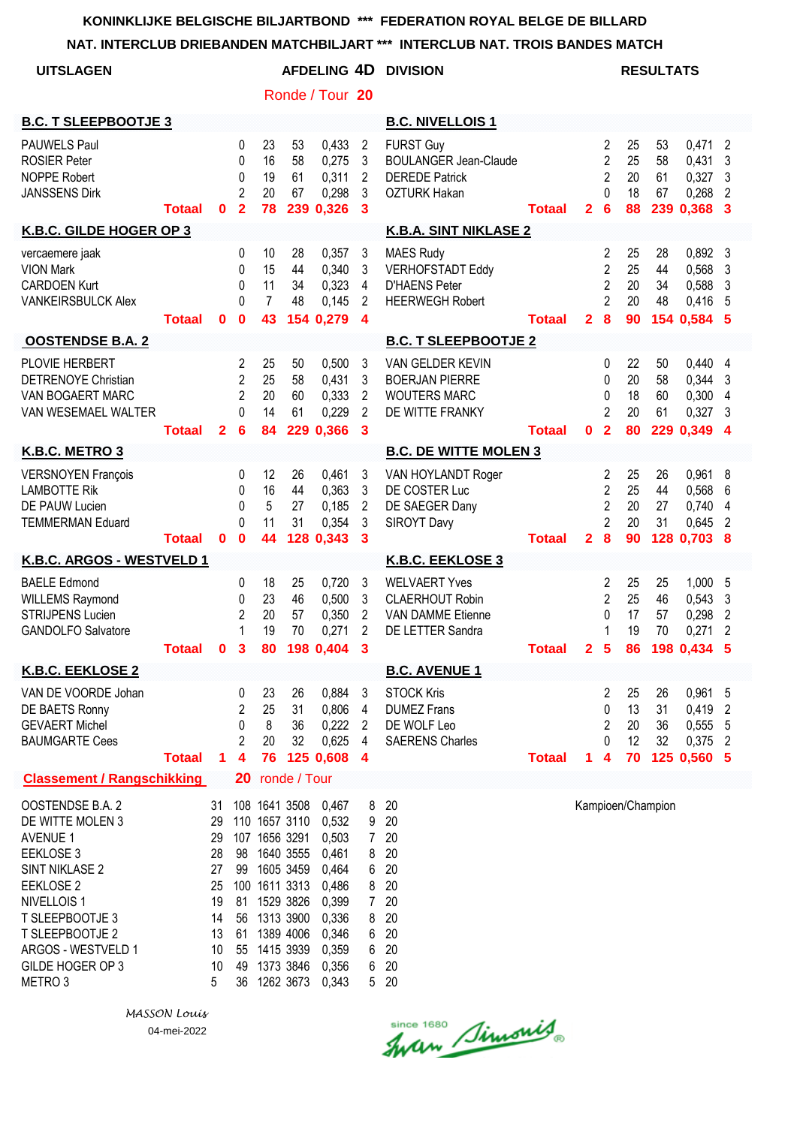# **NAT. INTERCLUB DRIEBANDEN MATCHBILJART \*\*\* INTERCLUB NAT. TROIS BANDES MATCH**

| NAT. INTERCLUB DRIEBANDEN MATCHBILJART<br>$***$<br><b>INTERCLUB NAT. TROIS BANDES MATCH</b>                                                                                                                                     |               |                                                                     |                                                              |                                        |                                                                                                                                                                                                  |                                                                                                          |                                                                                    |                                                                                                  |               |                |                                                              |                            |                             |                                                     |                                          |
|---------------------------------------------------------------------------------------------------------------------------------------------------------------------------------------------------------------------------------|---------------|---------------------------------------------------------------------|--------------------------------------------------------------|----------------------------------------|--------------------------------------------------------------------------------------------------------------------------------------------------------------------------------------------------|----------------------------------------------------------------------------------------------------------|------------------------------------------------------------------------------------|--------------------------------------------------------------------------------------------------|---------------|----------------|--------------------------------------------------------------|----------------------------|-----------------------------|-----------------------------------------------------|------------------------------------------|
| <b>UITSLAGEN</b>                                                                                                                                                                                                                |               |                                                                     |                                                              |                                        |                                                                                                                                                                                                  | <b>AFDELING 4D</b>                                                                                       |                                                                                    | <b>DIVISION</b>                                                                                  |               |                |                                                              |                            | <b>RESULTATS</b>            |                                                     |                                          |
|                                                                                                                                                                                                                                 |               |                                                                     |                                                              |                                        |                                                                                                                                                                                                  | Ronde / Tour 20                                                                                          |                                                                                    |                                                                                                  |               |                |                                                              |                            |                             |                                                     |                                          |
| <b>B.C. T SLEEPBOOTJE 3</b>                                                                                                                                                                                                     |               |                                                                     |                                                              |                                        |                                                                                                                                                                                                  |                                                                                                          |                                                                                    | <b>B.C. NIVELLOIS 1</b>                                                                          |               |                |                                                              |                            |                             |                                                     |                                          |
| PAUWELS Paul<br><b>ROSIER Peter</b><br><b>NOPPE Robert</b><br><b>JANSSENS Dirk</b>                                                                                                                                              | <b>Totaal</b> | $\mathbf{0}$                                                        | 0<br>0<br>0<br>$\overline{2}$<br>$\overline{2}$              | 23<br>16<br>19<br>20<br>78             | 53<br>58<br>61<br>67                                                                                                                                                                             | 0,433<br>0,275<br>0,311<br>0,298<br>239 0,326                                                            | $\overline{2}$<br>3<br>$\overline{2}$<br>3<br>$\mathbf{3}$                         | <b>FURST Guy</b><br><b>BOULANGER Jean-Claude</b><br><b>DEREDE Patrick</b><br><b>OZTURK Hakan</b> | <b>Totaal</b> | $\overline{2}$ | 2<br>$\overline{2}$<br>$\overline{2}$<br>$\Omega$<br>6       | 25<br>25<br>20<br>18<br>88 | 53<br>58<br>61<br>67        | 0,471<br>0,431<br>0,327<br>0,268<br>239 0,368 3     | $\overline{2}$<br>3<br>$\mathbf{3}$<br>2 |
| K.B.C. GILDE HOGER OP 3                                                                                                                                                                                                         |               |                                                                     |                                                              |                                        |                                                                                                                                                                                                  |                                                                                                          |                                                                                    | <b>K.B.A. SINT NIKLASE 2</b>                                                                     |               |                |                                                              |                            |                             |                                                     |                                          |
| vercaemere jaak<br><b>VION Mark</b><br><b>CARDOEN Kurt</b><br><b>VANKEIRSBULCK Alex</b>                                                                                                                                         | <b>Totaal</b> | 0                                                                   | 0<br>0<br>0<br>0<br>$\bf{0}$                                 | 10<br>15<br>11<br>$\overline{7}$<br>43 | 28<br>44<br>34<br>48                                                                                                                                                                             | 0,357<br>0,340<br>0,323<br>0,145<br>154 0,279                                                            | 3<br>3<br>4<br>2<br>$\boldsymbol{4}$                                               | <b>MAES Rudy</b><br><b>VERHOFSTADT Eddy</b><br><b>D'HAENS Peter</b><br><b>HEERWEGH Robert</b>    | <b>Totaal</b> | $\overline{2}$ | 2<br>$\overline{2}$<br>$\overline{2}$<br>$\overline{2}$<br>8 | 25<br>25<br>20<br>20<br>90 | 28<br>44<br>34<br>48        | 0,892<br>0,568<br>0,588<br>0,416<br>154 0,584       | $\mathbf{3}$<br>3<br>3<br>5<br>5         |
| <b>OOSTENDSE B.A. 2</b>                                                                                                                                                                                                         |               |                                                                     |                                                              |                                        |                                                                                                                                                                                                  |                                                                                                          |                                                                                    | <b>B.C. T SLEEPBOOTJE 2</b>                                                                      |               |                |                                                              |                            |                             |                                                     |                                          |
| PLOVIE HERBERT<br><b>DETRENOYE Christian</b><br>VAN BOGAERT MARC<br>VAN WESEMAEL WALTER                                                                                                                                         | <b>Totaal</b> | $\overline{2}$                                                      | $\overline{c}$<br>$\overline{2}$<br>$\overline{2}$<br>0<br>6 | 25<br>25<br>20<br>14<br>84             | 50<br>58<br>60<br>61<br>229                                                                                                                                                                      | 0,500<br>0,431<br>0,333<br>0,229<br>0,366                                                                | 3<br>3<br>$\overline{2}$<br>$\overline{2}$<br>$\overline{\mathbf{3}}$              | VAN GELDER KEVIN<br><b>BOERJAN PIERRE</b><br><b>WOUTERS MARC</b><br>DE WITTE FRANKY              | <b>Totaal</b> | 0              | 0<br>0<br>0<br>$\overline{2}$<br>$\overline{2}$              | 22<br>20<br>18<br>20<br>80 | 50<br>58<br>60<br>61<br>229 | 0,440<br>0,344<br>0,300<br>0,327<br>0,349           | 4<br>3<br>4<br>3<br>4                    |
| K.B.C. METRO 3                                                                                                                                                                                                                  |               |                                                                     |                                                              |                                        |                                                                                                                                                                                                  |                                                                                                          |                                                                                    | <b>B.C. DE WITTE MOLEN 3</b>                                                                     |               |                |                                                              |                            |                             |                                                     |                                          |
| <b>VERSNOYEN François</b><br><b>LAMBOTTE Rik</b><br>DE PAUW Lucien<br><b>TEMMERMAN Eduard</b>                                                                                                                                   | <b>Totaal</b> | $\mathbf{0}$                                                        | 0<br>0<br>0<br>0<br>$\mathbf 0$                              | 12<br>16<br>5<br>11<br>44              | 26<br>44<br>27<br>31                                                                                                                                                                             | 0,461<br>0,363<br>0,185<br>0,354<br>128 0,343                                                            | 3<br>3<br>$\overline{2}$<br>3<br>3                                                 | VAN HOYLANDT Roger<br>DE COSTER Luc<br>DE SAEGER Dany<br>SIROYT Davy                             | <b>Totaal</b> | $\mathbf{2}$   | 2<br>$\overline{2}$<br>$\overline{2}$<br>$\overline{2}$<br>8 | 25<br>25<br>20<br>20<br>90 | 26<br>44<br>27<br>31        | $0,961$ 8<br>0,568<br>0,740<br>0,645<br>128 0,703 8 | 6<br>4<br>2                              |
| K.B.C. ARGOS - WESTVELD 1                                                                                                                                                                                                       |               |                                                                     |                                                              |                                        |                                                                                                                                                                                                  |                                                                                                          |                                                                                    | <b>K.B.C. EEKLOSE 3</b>                                                                          |               |                |                                                              |                            |                             |                                                     |                                          |
| <b>BAELE Edmond</b><br><b>WILLEMS Raymond</b><br><b>STRIJPENS Lucien</b><br><b>GANDOLFO Salvatore</b>                                                                                                                           | <b>Totaal</b> |                                                                     | 0<br>0<br>2<br>1<br>0 <sup>3</sup>                           | 18<br>23<br>20<br>19                   | 25<br>46<br>57<br>70                                                                                                                                                                             | 0,720<br>0,500<br>0,350<br>0,271<br>80 198 0,404 3                                                       | 3<br>3<br>2<br>$\overline{2}$                                                      | <b>WELVAERT Yves</b><br><b>CLAERHOUT Robin</b><br><b>VAN DAMME Etienne</b><br>DE LETTER Sandra   | <b>Totaal</b> | 2 <sub>5</sub> | 2<br>$\overline{2}$<br>0<br>1                                | 25<br>25<br>17<br>19       | 25<br>46<br>57<br>70        | 1,000<br>0,543<br>0,298<br>0,271<br>86 198 0,434 5  | -5<br>3<br>2<br>$\overline{2}$           |
| K.B.C. EEKLOSE 2                                                                                                                                                                                                                |               |                                                                     |                                                              |                                        |                                                                                                                                                                                                  |                                                                                                          |                                                                                    | <b>B.C. AVENUE 1</b>                                                                             |               |                |                                                              |                            |                             |                                                     |                                          |
| VAN DE VOORDE Johan<br>DE BAETS Ronny<br><b>GEVAERT Michel</b><br><b>BAUMGARTE Cees</b>                                                                                                                                         | <b>Totaal</b> | 1                                                                   | 0<br>2<br>0<br>2<br>4                                        | 23<br>25<br>8<br>20<br>76              | 26<br>31<br>36<br>32                                                                                                                                                                             | 0,884<br>0,806<br>0,222<br>0,625<br>125 0,608                                                            | 3<br>4<br>2<br>4<br>$\overline{\mathbf{4}}$                                        | <b>STOCK Kris</b><br><b>DUMEZ Frans</b><br>DE WOLF Leo<br><b>SAERENS Charles</b>                 | <b>Totaal</b> | 1.             | 2<br>0<br>2<br>0<br>$\overline{\mathbf{4}}$                  | 25<br>13<br>20<br>12<br>70 | 26<br>31<br>36<br>32        | 0,961 5<br>0,419<br>0,555<br>0,375<br>125 0,560 5   | $\overline{2}$<br>5<br>2                 |
| <b>Classement / Rangschikking</b>                                                                                                                                                                                               |               |                                                                     |                                                              |                                        | 20 ronde / Tour                                                                                                                                                                                  |                                                                                                          |                                                                                    |                                                                                                  |               |                |                                                              |                            |                             |                                                     |                                          |
| OOSTENDSE B.A. 2<br>DE WITTE MOLEN 3<br><b>AVENUE 1</b><br>EEKLOSE 3<br><b>SINT NIKLASE 2</b><br>EEKLOSE 2<br>NIVELLOIS 1<br>T SLEEPBOOTJE 3<br>T SLEEPBOOTJE 2<br>ARGOS - WESTVELD 1<br>GILDE HOGER OP 3<br>METRO <sub>3</sub> |               | 31<br>29<br>29<br>28<br>27<br>25<br>19<br>14<br>13<br>10<br>10<br>5 |                                                              |                                        | 108 1641 3508<br>110 1657 3110<br>107 1656 3291<br>98 1640 3555<br>99 1605 3459<br>100 1611 3313<br>81 1529 3826<br>56 1313 3900<br>61 1389 4006<br>55 1415 3939<br>49 1373 3846<br>36 1262 3673 | 0,467<br>0,532<br>0,503<br>0,461<br>0,464<br>0,486<br>0,399<br>0,336<br>0,346<br>0,359<br>0,356<br>0,343 | 8<br>9<br>$\overline{7}$<br>8<br>6<br>8<br>$\overline{7}$<br>8<br>6<br>6<br>6<br>5 | 20<br>20<br>20<br>20<br>20<br>20<br>20<br>20<br>20<br>20<br>20<br>20                             |               |                |                                                              |                            | Kampioen/Champion           |                                                     |                                          |

since 1680 Simonis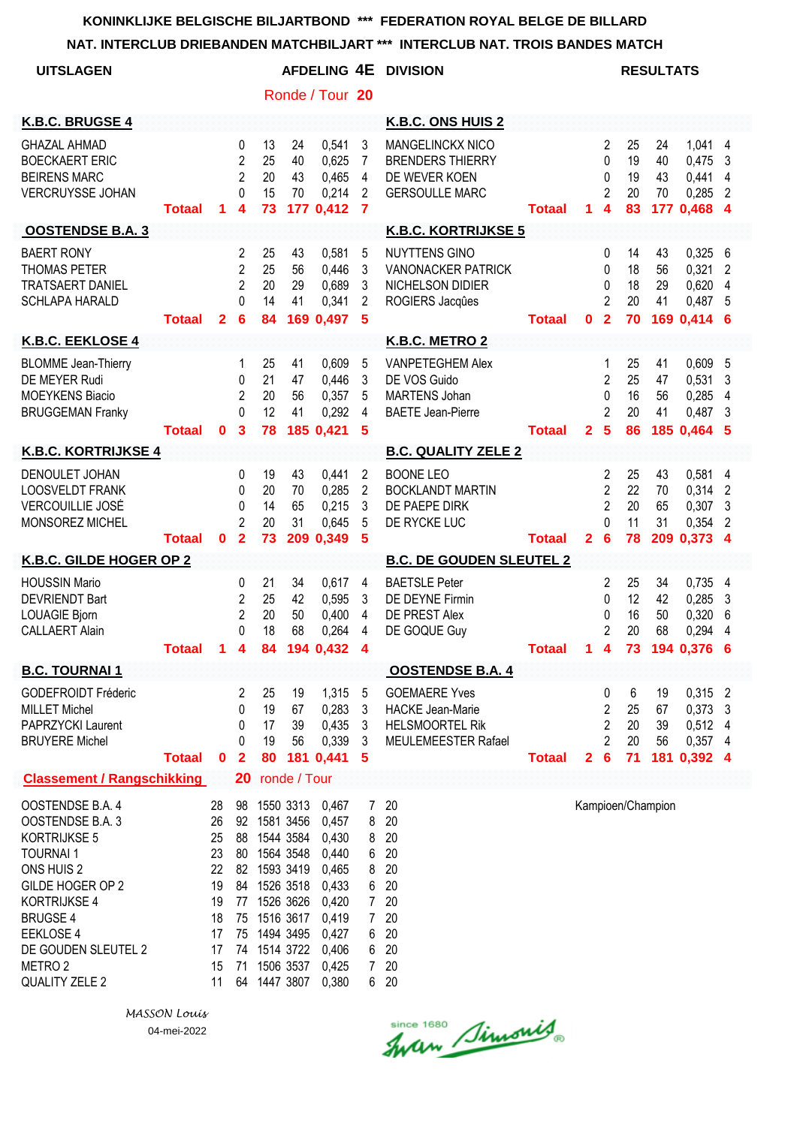**NAT. INTERCLUB DRIEBANDEN MATCHBILJART \*\*\* INTERCLUB NAT. TROIS BANDES MATCH**

| AFDELING 4E DIVISION<br><b>UITSLAGEN</b>                                                                                                                                                                                               |               |                                                                      |                                                                      |                            | <b>RESULTATS</b>                                                                                                                                         |                                                                                                          |                                                                                                 |                                                                                                  |               |              |                                                              |                            |                             |                                                               |                                            |
|----------------------------------------------------------------------------------------------------------------------------------------------------------------------------------------------------------------------------------------|---------------|----------------------------------------------------------------------|----------------------------------------------------------------------|----------------------------|----------------------------------------------------------------------------------------------------------------------------------------------------------|----------------------------------------------------------------------------------------------------------|-------------------------------------------------------------------------------------------------|--------------------------------------------------------------------------------------------------|---------------|--------------|--------------------------------------------------------------|----------------------------|-----------------------------|---------------------------------------------------------------|--------------------------------------------|
| Ronde / Tour 20                                                                                                                                                                                                                        |               |                                                                      |                                                                      |                            |                                                                                                                                                          |                                                                                                          |                                                                                                 |                                                                                                  |               |              |                                                              |                            |                             |                                                               |                                            |
| K.B.C. BRUGSE 4<br>K.B.C. ONS HUIS 2                                                                                                                                                                                                   |               |                                                                      |                                                                      |                            |                                                                                                                                                          |                                                                                                          |                                                                                                 |                                                                                                  |               |              |                                                              |                            |                             |                                                               |                                            |
| <b>GHAZAL AHMAD</b><br><b>BOECKAERT ERIC</b><br><b>BEIRENS MARC</b><br>VERCRUYSSE JOHAN                                                                                                                                                | <b>Totaal</b> | 1                                                                    | 0<br>$\overline{2}$<br>$\overline{2}$<br>$\Omega$<br>4               | 13<br>25<br>20<br>15<br>73 | 24<br>40<br>43<br>70                                                                                                                                     | 0,541<br>0,625<br>0,465<br>0,214<br>177 0,412                                                            | 3<br>$\overline{7}$<br>$\overline{4}$<br>2<br>$\overline{7}$                                    | <b>MANGELINCKX NICO</b><br><b>BRENDERS THIERRY</b><br>DE WEVER KOEN<br><b>GERSOULLE MARC</b>     | <b>Totaal</b> | 1.           | 2<br>0<br>0<br>$\overline{2}$<br>4                           | 25<br>19<br>19<br>20<br>83 | 24<br>40<br>43<br>70        | 1,041<br>0,475<br>0,441<br>0,285<br>177 0,468 4               | $\overline{4}$<br>3<br>4<br>$\overline{2}$ |
| <b>OOSTENDSE B.A. 3</b>                                                                                                                                                                                                                |               |                                                                      |                                                                      |                            |                                                                                                                                                          |                                                                                                          |                                                                                                 | <b>K.B.C. KORTRIJKSE 5</b>                                                                       |               |              |                                                              |                            |                             |                                                               |                                            |
| <b>BAERT RONY</b><br><b>THOMAS PETER</b><br><b>TRATSAERT DANIEL</b><br><b>SCHLAPA HARALD</b>                                                                                                                                           | <b>Totaal</b> | $\mathbf{2}$                                                         | 2<br>$\overline{2}$<br>$\overline{2}$<br>$\Omega$<br>6               | 25<br>25<br>20<br>14<br>84 | 43<br>56<br>29<br>41<br>169                                                                                                                              | 0,581<br>0,446<br>0,689<br>0,341<br>0,497                                                                | 5<br>3<br>3<br>2<br>5                                                                           | <b>NUYTTENS GINO</b><br><b>VANONACKER PATRICK</b><br>NICHELSON DIDIER<br>ROGIERS Jacques         | <b>Totaal</b> | 0            | 0<br>0<br>$\mathbf{0}$<br>$\overline{2}$<br>$\overline{2}$   | 14<br>18<br>18<br>20<br>70 | 43<br>56<br>29<br>41        | 0,325<br>0,321<br>0,620<br>0,487 5<br>169 0,414 6             | 6<br>$\overline{2}$<br>4                   |
| K.B.C. EEKLOSE 4                                                                                                                                                                                                                       |               |                                                                      |                                                                      |                            |                                                                                                                                                          |                                                                                                          |                                                                                                 | K.B.C. METRO 2                                                                                   |               |              |                                                              |                            |                             |                                                               |                                            |
| <b>BLOMME</b> Jean-Thierry<br>DE MEYER Rudi<br><b>MOEYKENS Biacio</b><br><b>BRUGGEMAN Franky</b>                                                                                                                                       | <b>Totaal</b> | 0                                                                    | 1<br>0<br>2<br>$\Omega$<br>$\mathbf{3}$                              | 25<br>21<br>20<br>12<br>78 | 41<br>47<br>56<br>41                                                                                                                                     | 0,609<br>0,446<br>0,357<br>0,292<br>185 0,421                                                            | 5<br>3<br>5<br>4<br>5                                                                           | <b>VANPETEGHEM Alex</b><br>DE VOS Guido<br><b>MARTENS Johan</b><br><b>BAETE Jean-Pierre</b>      | <b>Totaal</b> | $\mathbf{2}$ | 1<br>$\overline{2}$<br>0<br>2<br>5                           | 25<br>25<br>16<br>20<br>86 | 41<br>47<br>56<br>41        | 0,609<br>0,531<br>0,285<br>0,487<br>185 0,464                 | 5<br>3<br>4<br>3<br>5                      |
| <b>K.B.C. KORTRIJKSE 4</b>                                                                                                                                                                                                             |               |                                                                      |                                                                      |                            |                                                                                                                                                          |                                                                                                          |                                                                                                 | <b>B.C. QUALITY ZELE 2</b>                                                                       |               |              |                                                              |                            |                             |                                                               |                                            |
| DENOULET JOHAN<br><b>LOOSVELDT FRANK</b><br><b>VERCOUILLIE JOSÉ</b><br>MONSOREZ MICHEL                                                                                                                                                 | <b>Totaal</b> | $\mathbf{0}$                                                         | 0<br>0<br>0<br>$\overline{2}$<br>$\overline{2}$                      | 19<br>20<br>14<br>20<br>73 | 43<br>70<br>65<br>31                                                                                                                                     | 0,441<br>0,285<br>0,215<br>0.645<br>209 0,349                                                            | 2<br>$\overline{2}$<br>3<br>5<br>5                                                              | <b>BOONE LEO</b><br><b>BOCKLANDT MARTIN</b><br>DE PAEPE DIRK<br>DE RYCKE LUC                     | <b>Totaal</b> | $\mathbf{2}$ | 2<br>$\overline{2}$<br>$\overline{2}$<br>0<br>6              | 25<br>22<br>20<br>11<br>78 | 43<br>70<br>65<br>31<br>209 | 0,581<br>0,314<br>0,307<br>0,354<br>$0,373$ 4                 | 4<br>$\overline{2}$<br>3<br>2              |
| K.B.C. GILDE HOGER OP 2                                                                                                                                                                                                                |               |                                                                      |                                                                      |                            |                                                                                                                                                          |                                                                                                          |                                                                                                 | <b>B.C. DE GOUDEN SLEUTEL 2</b>                                                                  |               |              |                                                              |                            |                             |                                                               |                                            |
| <b>HOUSSIN Mario</b><br><b>DEVRIENDT Bart</b><br><b>LOUAGIE Bjorn</b><br><b>CALLAERT Alain</b>                                                                                                                                         | <b>Totaal</b> | 1                                                                    | 0<br>2<br>2<br>$\Omega$<br>4                                         | 21<br>25<br>20<br>18<br>84 | 34<br>42<br>50<br>68<br>194                                                                                                                              | 0,617<br>0,595<br>0,400<br>0,264<br>0,432                                                                | 4<br>3<br>4<br>4<br>$\boldsymbol{4}$                                                            | <b>BAETSLE Peter</b><br>DE DEYNE Firmin<br>DE PREST Alex<br>DE GOQUE Guy                         | <b>Totaal</b> | 1.           | 2<br>0<br>0<br>$\mathfrak{p}$<br>4                           | 25<br>12<br>16<br>20<br>73 | 34<br>42<br>50<br>68<br>194 | 0,735<br>0,285<br>0,320<br>0,294<br>0,376                     | 4<br>3<br>6<br>4<br>6                      |
| <b>B.C. TOURNAI 1</b>                                                                                                                                                                                                                  |               |                                                                      |                                                                      |                            |                                                                                                                                                          |                                                                                                          |                                                                                                 | <b>OOSTENDSE B.A. 4</b>                                                                          |               |              |                                                              |                            |                             |                                                               |                                            |
| <b>GODEFROIDT Fréderic</b><br><b>MILLET Michel</b><br>PAPRZYCKI Laurent<br><b>BRUYERE Michel</b>                                                                                                                                       | <b>Totaal</b> | $\mathbf{0}$                                                         | 2<br>0<br>0<br>0<br>$\overline{2}$                                   | 25<br>19<br>17<br>19<br>80 | 19<br>67<br>39<br>56                                                                                                                                     | 1,315<br>0,283<br>0,435<br>0,339<br>181 0,441                                                            | 5<br>3<br>3<br>3<br>5                                                                           | <b>GOEMAERE Yves</b><br><b>HACKE Jean-Marie</b><br><b>HELSMOORTEL Rik</b><br>MEULEMEESTER Rafael | <b>Totaal</b> | $\mathbf{2}$ | 0<br>$\overline{2}$<br>$\overline{2}$<br>2<br>$6\phantom{1}$ | 6<br>25<br>20<br>20<br>71  | 19<br>67<br>39<br>56        | $0,315$ 2<br>$0,373$ 3<br>0,512 4<br>$0,357$ 4<br>181 0,392 4 |                                            |
| <b>Classement / Rangschikking</b>                                                                                                                                                                                                      |               |                                                                      | 20                                                                   |                            | ronde / Tour                                                                                                                                             |                                                                                                          |                                                                                                 |                                                                                                  |               |              |                                                              |                            |                             |                                                               |                                            |
| OOSTENDSE B.A. 4<br>OOSTENDSE B.A. 3<br>KORTRIJKSE 5<br><b>TOURNAI1</b><br>ONS HUIS 2<br>GILDE HOGER OP 2<br><b>KORTRIJKSE 4</b><br><b>BRUGSE 4</b><br><b>EEKLOSE 4</b><br>DE GOUDEN SLEUTEL 2<br>METRO <sub>2</sub><br>QUALITY ZELE 2 |               | 28<br>26<br>25<br>23<br>22<br>19<br>19<br>18<br>17<br>17<br>15<br>11 | 98<br>92<br>88<br>80<br>82<br>84<br>77<br>75<br>75<br>74<br>71<br>64 |                            | 1550 3313<br>1581 3456<br>1544 3584<br>1564 3548<br>1593 3419<br>1526 3518<br>1526 3626<br>1516 3617<br>1494 3495<br>1514 3722<br>1506 3537<br>1447 3807 | 0,467<br>0,457<br>0,430<br>0,440<br>0,465<br>0,433<br>0,420<br>0,419<br>0,427<br>0,406<br>0,425<br>0,380 | 7<br>8<br>8<br>6<br>8<br>6<br>$\overline{7}$<br>$\overline{7}$<br>6<br>6<br>$\overline{7}$<br>6 | 20<br>20<br>20<br>20<br>20<br>20<br>20<br>20<br>20<br>20<br>20<br>20                             |               |              |                                                              |                            | Kampioen/Champion           |                                                               |                                            |

Since 1680 Simonis